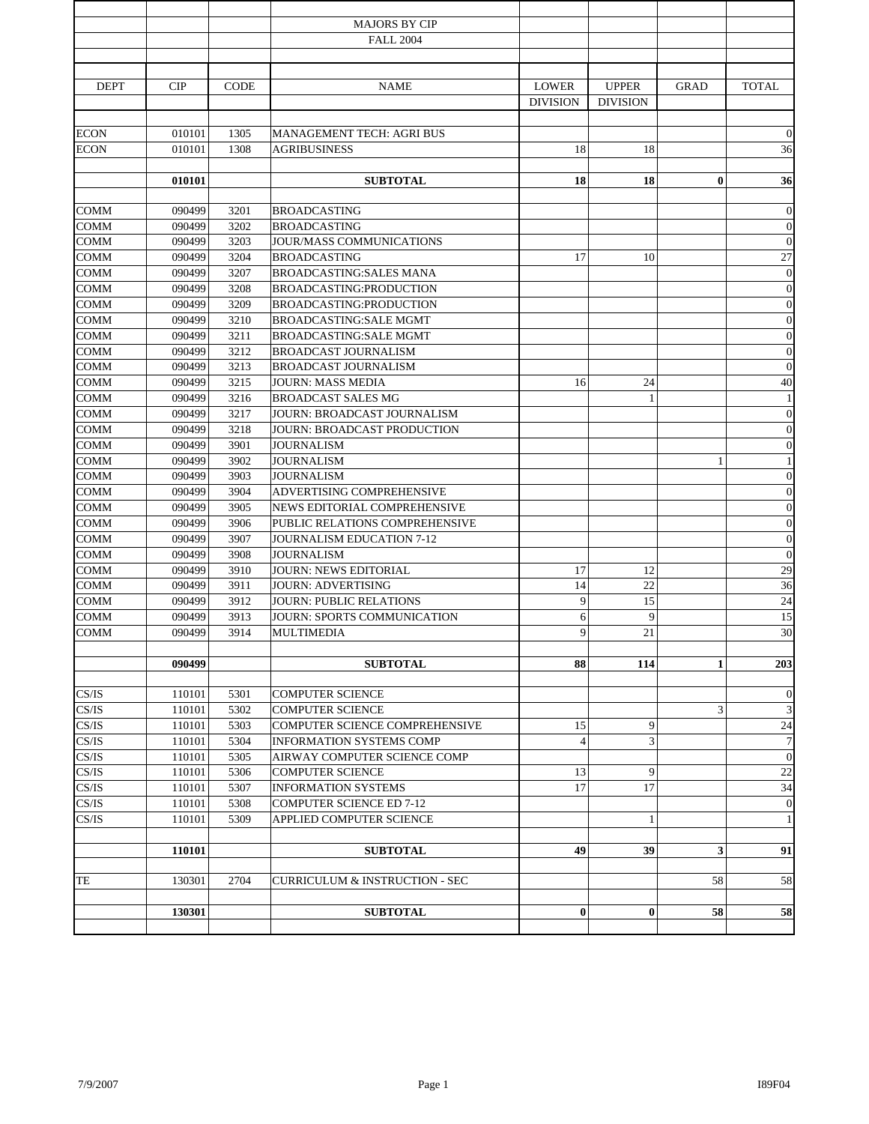|                            |                  |              | <b>MAJORS BY CIP</b>                                                 |                 |                 |              |                              |
|----------------------------|------------------|--------------|----------------------------------------------------------------------|-----------------|-----------------|--------------|------------------------------|
|                            |                  |              | <b>FALL 2004</b>                                                     |                 |                 |              |                              |
|                            |                  |              |                                                                      |                 |                 |              |                              |
| <b>DEPT</b>                | CIP              | <b>CODE</b>  | <b>NAME</b>                                                          | <b>LOWER</b>    | <b>UPPER</b>    | <b>GRAD</b>  | <b>TOTAL</b>                 |
|                            |                  |              |                                                                      | <b>DIVISION</b> | <b>DIVISION</b> |              |                              |
|                            |                  |              |                                                                      |                 |                 |              |                              |
| <b>ECON</b>                | 010101           | 1305         | MANAGEMENT TECH: AGRI BUS                                            |                 |                 |              | $\mathbf{0}$                 |
| <b>ECON</b>                | 010101           | 1308         | <b>AGRIBUSINESS</b>                                                  | 18              | 18              |              | 36                           |
|                            |                  |              |                                                                      |                 |                 |              |                              |
|                            | 010101           |              | <b>SUBTOTAL</b>                                                      | 18              | 18              | $\bf{0}$     | 36                           |
|                            |                  |              |                                                                      |                 |                 |              |                              |
| <b>COMM</b><br><b>COMM</b> | 090499<br>090499 | 3201<br>3202 | <b>BROADCASTING</b><br><b>BROADCASTING</b>                           |                 |                 |              | $\mathbf{0}$<br>$\mathbf{0}$ |
| COMM                       | 090499           | 3203         | JOUR/MASS COMMUNICATIONS                                             |                 |                 |              | $\boldsymbol{0}$             |
| <b>COMM</b>                | 090499           | 3204         | <b>BROADCASTING</b>                                                  | 17              | 10              |              | $27\,$                       |
| COMM                       | 090499           | 3207         | <b>BROADCASTING:SALES MANA</b>                                       |                 |                 |              | $\boldsymbol{0}$             |
| <b>COMM</b>                | 090499           | 3208         | BROADCASTING:PRODUCTION                                              |                 |                 |              | $\boldsymbol{0}$             |
| <b>COMM</b>                | 090499           | 3209         | BROADCASTING:PRODUCTION                                              |                 |                 |              | $\mathbf{0}$                 |
| <b>COMM</b>                | 090499           | 3210         | <b>BROADCASTING:SALE MGMT</b>                                        |                 |                 |              | $\boldsymbol{0}$             |
| <b>COMM</b>                | 090499           | 3211         | <b>BROADCASTING:SALE MGMT</b>                                        |                 |                 |              | $\boldsymbol{0}$             |
| <b>COMM</b>                | 090499           | 3212         | <b>BROADCAST JOURNALISM</b>                                          |                 |                 |              | $\boldsymbol{0}$             |
| <b>COMM</b>                | 090499           | 3213         | <b>BROADCAST JOURNALISM</b>                                          |                 |                 |              | $\boldsymbol{0}$             |
| <b>COMM</b>                | 090499           | 3215         | <b>JOURN: MASS MEDIA</b>                                             | 16              | 24              |              | 40                           |
| <b>COMM</b>                | 090499           | 3216         | <b>BROADCAST SALES MG</b>                                            |                 |                 |              | $\mathbf{1}$                 |
| COMM                       | 090499           | 3217         | JOURN: BROADCAST JOURNALISM                                          |                 |                 |              | $\boldsymbol{0}$             |
| <b>COMM</b>                | 090499           | 3218         | JOURN: BROADCAST PRODUCTION                                          |                 |                 |              | $\boldsymbol{0}$             |
| <b>COMM</b>                | 090499           | 3901         | <b>JOURNALISM</b>                                                    |                 |                 |              | $\boldsymbol{0}$             |
| <b>COMM</b>                | 090499           | 3902         | <b>JOURNALISM</b>                                                    |                 |                 | 1            | $1\,$                        |
| <b>COMM</b>                | 090499           | 3903         | <b>JOURNALISM</b>                                                    |                 |                 |              | $\boldsymbol{0}$             |
| <b>COMM</b>                | 090499           | 3904         | ADVERTISING COMPREHENSIVE                                            |                 |                 |              | $\mathbf{0}$                 |
| COMM                       | 090499           | 3905         | NEWS EDITORIAL COMPREHENSIVE                                         |                 |                 |              | $\boldsymbol{0}$             |
| <b>COMM</b>                | 090499           | 3906         | PUBLIC RELATIONS COMPREHENSIVE                                       |                 |                 |              | $\boldsymbol{0}$             |
| <b>COMM</b>                | 090499           | 3907         | JOURNALISM EDUCATION 7-12                                            |                 |                 |              | $\boldsymbol{0}$             |
| <b>COMM</b>                | 090499           | 3908         | <b>JOURNALISM</b>                                                    |                 |                 |              | $\boldsymbol{0}$             |
| <b>COMM</b>                | 090499           | 3910         | <b>JOURN: NEWS EDITORIAL</b>                                         | 17              | 12              |              | 29                           |
| <b>COMM</b><br><b>COMM</b> | 090499           | 3911         | <b>JOURN: ADVERTISING</b>                                            | 14<br>9         | 22              |              | 36                           |
| <b>COMM</b>                | 090499           | 3912         | <b>JOURN: PUBLIC RELATIONS</b><br><b>JOURN: SPORTS COMMUNICATION</b> |                 | 15<br>9         |              | $24\,$                       |
| <b>COMM</b>                | 090499<br>090499 | 3913<br>3914 | <b>MULTIMEDIA</b>                                                    | 6<br>9          | 21              |              | 15<br>30                     |
|                            |                  |              |                                                                      |                 |                 |              |                              |
|                            | 090499           |              | <b>SUBTOTAL</b>                                                      | 88              | 114             | $\mathbf{1}$ | 203                          |
|                            |                  |              |                                                                      |                 |                 |              |                              |
| CS/IS                      | 110101           | 5301         | <b>COMPUTER SCIENCE</b>                                              |                 |                 |              | $\theta$                     |
| CS/IS                      | 110101           | 5302         | <b>COMPUTER SCIENCE</b>                                              |                 |                 | 3            | $\ensuremath{\mathfrak{Z}}$  |
| CS/IS                      | 110101           | 5303         | <b>COMPUTER SCIENCE COMPREHENSIVE</b>                                | 15              | 9               |              | $24\,$                       |
| CS/IS                      | 110101           | 5304         | <b>INFORMATION SYSTEMS COMP</b>                                      | $\overline{4}$  | 3               |              | $\tau$                       |
| CS/IS                      | 110101           | 5305         | AIRWAY COMPUTER SCIENCE COMP                                         |                 |                 |              | $\mathbf{0}$                 |
| CS/IS                      | 110101           | 5306         | <b>COMPUTER SCIENCE</b>                                              | 13              | 9               |              | 22                           |
| CS/IS                      | 110101           | 5307         | <b>INFORMATION SYSTEMS</b>                                           | 17              | 17              |              | 34                           |
| CS/IS                      | 110101           | 5308         | <b>COMPUTER SCIENCE ED 7-12</b>                                      |                 |                 |              | $\mathbf{0}$                 |
| CS/IS                      | 110101           | 5309         | APPLIED COMPUTER SCIENCE                                             |                 | $\mathbf{1}$    |              | $\mathbf{1}$                 |
|                            | 110101           |              | <b>SUBTOTAL</b>                                                      | 49              | 39              | 3            | 91                           |
|                            |                  |              |                                                                      |                 |                 |              |                              |
| TE                         | 130301           | 2704         | <b>CURRICULUM &amp; INSTRUCTION - SEC</b>                            |                 |                 | 58           | 58                           |
|                            |                  |              |                                                                      |                 |                 |              |                              |
|                            | 130301           |              | <b>SUBTOTAL</b>                                                      | $\bf{0}$        | $\bf{0}$        | 58           | 58                           |
|                            |                  |              |                                                                      |                 |                 |              |                              |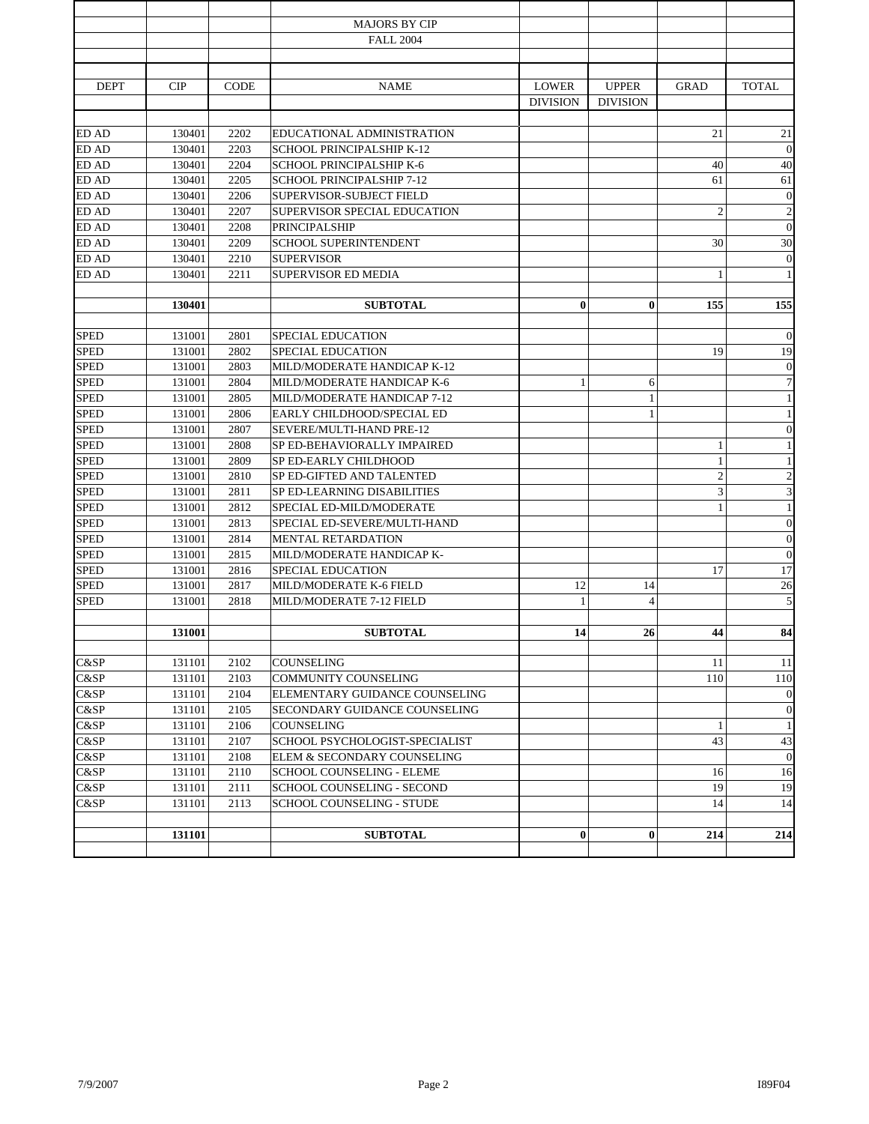|              |        |             | <b>MAJORS BY CIP</b>              |                 |                 |                |                         |
|--------------|--------|-------------|-----------------------------------|-----------------|-----------------|----------------|-------------------------|
|              |        |             | <b>FALL 2004</b>                  |                 |                 |                |                         |
|              |        |             |                                   |                 |                 |                |                         |
|              |        |             |                                   |                 |                 |                |                         |
| <b>DEPT</b>  | CIP    | <b>CODE</b> | <b>NAME</b>                       | <b>LOWER</b>    | <b>UPPER</b>    | <b>GRAD</b>    | <b>TOTAL</b>            |
|              |        |             |                                   | <b>DIVISION</b> | <b>DIVISION</b> |                |                         |
| <b>ED AD</b> | 130401 | 2202        | EDUCATIONAL ADMINISTRATION        |                 |                 | 21             | 21                      |
| ED AD        | 130401 | 2203        | SCHOOL PRINCIPALSHIP K-12         |                 |                 |                | $\mathbf{0}$            |
| ED AD        | 130401 | 2204        | SCHOOL PRINCIPALSHIP K-6          |                 |                 | 40             | $40\,$                  |
| ED AD        | 130401 | 2205        | <b>SCHOOL PRINCIPALSHIP 7-12</b>  |                 |                 | 61             | 61                      |
| ED AD        | 130401 | 2206        | SUPERVISOR-SUBJECT FIELD          |                 |                 |                | $\mathbf{0}$            |
| ED AD        | 130401 | 2207        | SUPERVISOR SPECIAL EDUCATION      |                 |                 | $\overline{c}$ | $\sqrt{2}$              |
| ED AD        | 130401 | 2208        | PRINCIPALSHIP                     |                 |                 |                | $\boldsymbol{0}$        |
| ED AD        | 130401 | 2209        | <b>SCHOOL SUPERINTENDENT</b>      |                 |                 | 30             | 30                      |
| ED AD        | 130401 | 2210        | <b>SUPERVISOR</b>                 |                 |                 |                | $\mathbf{0}$            |
| ED AD        | 130401 | 2211        | SUPERVISOR ED MEDIA               |                 |                 | 1              | $\mathbf{1}$            |
|              |        |             |                                   |                 |                 |                |                         |
|              | 130401 |             | <b>SUBTOTAL</b>                   | $\bf{0}$        | $\bf{0}$        | 155            | 155                     |
|              |        |             |                                   |                 |                 |                |                         |
| <b>SPED</b>  | 131001 | 2801        | SPECIAL EDUCATION                 |                 |                 |                | $\boldsymbol{0}$        |
| <b>SPED</b>  | 131001 | 2802        | SPECIAL EDUCATION                 |                 |                 | 19             | 19                      |
| <b>SPED</b>  | 131001 | 2803        | MILD/MODERATE HANDICAP K-12       |                 |                 |                | $\mathbf{0}$            |
| <b>SPED</b>  | 131001 | 2804        | MILD/MODERATE HANDICAP K-6        | 1               | 6               |                | $\boldsymbol{7}$        |
| <b>SPED</b>  | 131001 | 2805        | MILD/MODERATE HANDICAP 7-12       |                 | $\mathbf{1}$    |                | $\,1\,$                 |
| <b>SPED</b>  | 131001 | 2806        | EARLY CHILDHOOD/SPECIAL ED        |                 | $\mathbf{1}$    |                | $\mathbf{1}$            |
| <b>SPED</b>  | 131001 | 2807        | SEVERE/MULTI-HAND PRE-12          |                 |                 |                | $\boldsymbol{0}$        |
| <b>SPED</b>  | 131001 | 2808        | SP ED-BEHAVIORALLY IMPAIRED       |                 |                 | 1              | $\mathbf{1}$            |
| <b>SPED</b>  | 131001 | 2809        | SP ED-EARLY CHILDHOOD             |                 |                 | 1              | $\mathbf{1}$            |
| <b>SPED</b>  | 131001 | 2810        | SP ED-GIFTED AND TALENTED         |                 |                 | $\overline{2}$ | $\sqrt{2}$              |
| <b>SPED</b>  | 131001 | 2811        | SP ED-LEARNING DISABILITIES       |                 |                 | 3              | $\overline{\mathbf{3}}$ |
| <b>SPED</b>  | 131001 | 2812        | SPECIAL ED-MILD/MODERATE          |                 |                 | $\mathbf{1}$   | $\mathbf{1}$            |
| <b>SPED</b>  | 131001 | 2813        | SPECIAL ED-SEVERE/MULTI-HAND      |                 |                 |                | $\mathbf{0}$            |
| <b>SPED</b>  | 131001 | 2814        | MENTAL RETARDATION                |                 |                 |                | $\boldsymbol{0}$        |
| <b>SPED</b>  | 131001 | 2815        | MILD/MODERATE HANDICAP K-         |                 |                 |                | $\mathbf{0}$            |
| <b>SPED</b>  | 131001 | 2816        | <b>SPECIAL EDUCATION</b>          |                 |                 | 17             | 17                      |
| <b>SPED</b>  | 131001 | 2817        | MILD/MODERATE K-6 FIELD           | 12              | 14              |                | 26                      |
| <b>SPED</b>  | 131001 | 2818        | MILD/MODERATE 7-12 FIELD          | 1               | $\overline{4}$  |                | 5                       |
|              |        |             |                                   |                 |                 |                |                         |
|              | 131001 |             | <b>SUBTOTAL</b>                   | 14              | 26              | 44             | 84                      |
| C&SP         | 131101 | 2102        | COUNSELING                        |                 |                 | 11             | 11                      |
| C&SP         | 131101 | 2103        | COMMUNITY COUNSELING              |                 |                 | 110            | 110                     |
| C&SP         | 131101 | 2104        | ELEMENTARY GUIDANCE COUNSELING    |                 |                 |                | $\boldsymbol{0}$        |
| C&SP         | 131101 | 2105        | SECONDARY GUIDANCE COUNSELING     |                 |                 |                | $\boldsymbol{0}$        |
| C&SP         | 131101 | 2106        | COUNSELING                        |                 |                 | 1              | $\mathbf{1}$            |
| C&SP         | 131101 | 2107        | SCHOOL PSYCHOLOGIST-SPECIALIST    |                 |                 | 43             | 43                      |
| C&SP         | 131101 | 2108        | ELEM & SECONDARY COUNSELING       |                 |                 |                | $\mathbf{0}$            |
| C&SP         | 131101 | 2110        | SCHOOL COUNSELING - ELEME         |                 |                 | 16             | 16                      |
| C&SP         | 131101 | 2111        | <b>SCHOOL COUNSELING - SECOND</b> |                 |                 | 19             | 19                      |
| C&SP         | 131101 | 2113        | SCHOOL COUNSELING - STUDE         |                 |                 | 14             | 14                      |
|              |        |             |                                   |                 |                 |                |                         |
|              | 131101 |             | <b>SUBTOTAL</b>                   | $\bf{0}$        | $\bf{0}$        | 214            | 214                     |
|              |        |             |                                   |                 |                 |                |                         |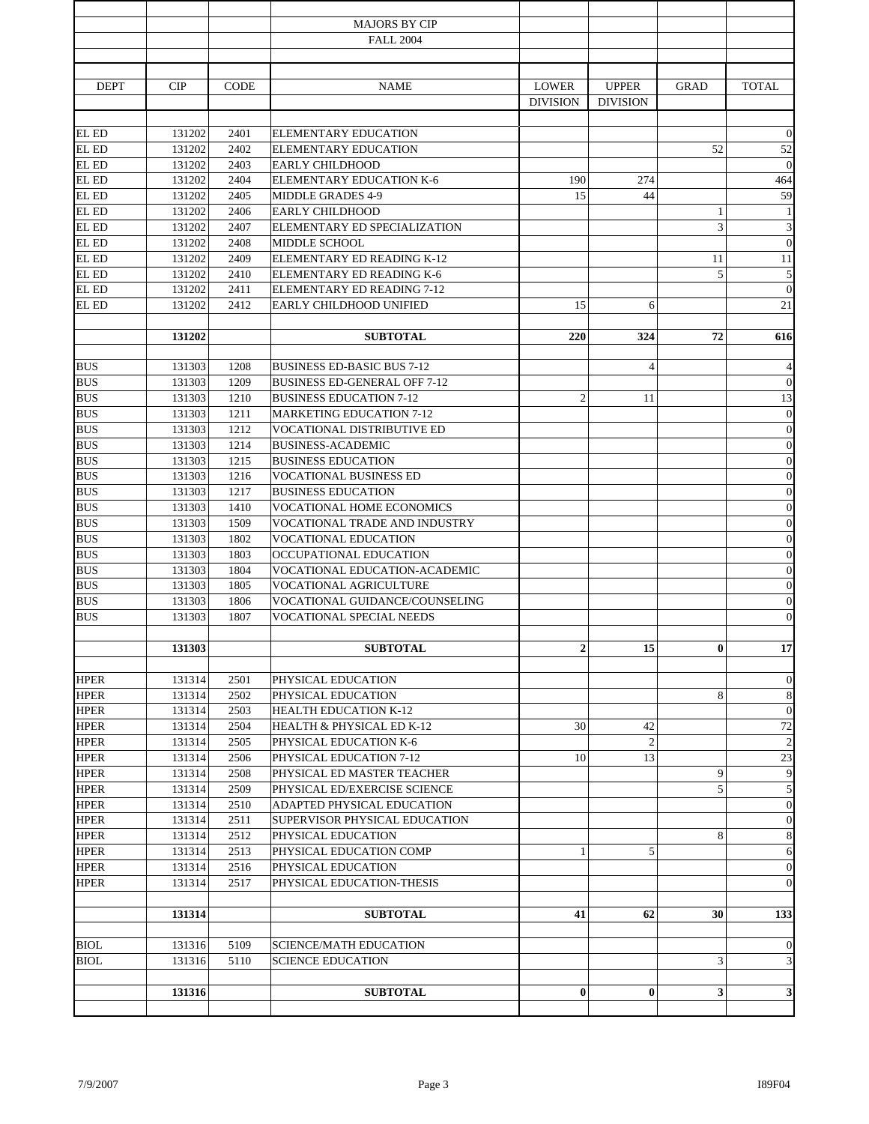|             |        |             | <b>MAJORS BY CIP</b>                |                  |                 |                         |                          |
|-------------|--------|-------------|-------------------------------------|------------------|-----------------|-------------------------|--------------------------|
|             |        |             | <b>FALL 2004</b>                    |                  |                 |                         |                          |
|             |        |             |                                     |                  |                 |                         |                          |
| <b>DEPT</b> | CIP    | <b>CODE</b> | <b>NAME</b>                         | <b>LOWER</b>     | <b>UPPER</b>    | <b>GRAD</b>             | <b>TOTAL</b>             |
|             |        |             |                                     | <b>DIVISION</b>  | <b>DIVISION</b> |                         |                          |
|             |        |             |                                     |                  |                 |                         |                          |
| EL ED       | 131202 | 2401        | ELEMENTARY EDUCATION                |                  |                 |                         | $\mathbf{0}$             |
| EL ED       | 131202 | 2402        | <b>ELEMENTARY EDUCATION</b>         |                  |                 | 52                      | 52                       |
| EL ED       | 131202 | 2403        | <b>EARLY CHILDHOOD</b>              |                  |                 |                         | $\mathbf{0}$             |
| EL ED       | 131202 | 2404        | <b>ELEMENTARY EDUCATION K-6</b>     | 190              | 274             |                         | 464                      |
| EL ED       | 131202 | 2405        | <b>MIDDLE GRADES 4-9</b>            | 15               | 44              |                         | 59                       |
| EL ED       | 131202 | 2406        | <b>EARLY CHILDHOOD</b>              |                  |                 | 1                       | $\mathbf{1}$             |
| EL ED       | 131202 | 2407        | ELEMENTARY ED SPECIALIZATION        |                  |                 | 3                       | $\overline{3}$           |
| EL ED       | 131202 | 2408        | MIDDLE SCHOOL                       |                  |                 |                         | $\boldsymbol{0}$         |
| EL ED       | 131202 | 2409        | ELEMENTARY ED READING K-12          |                  |                 | 11                      | 11                       |
| EL ED       | 131202 | 2410        | ELEMENTARY ED READING K-6           |                  |                 | 5                       | $\sqrt{5}$               |
| EL ED       | 131202 | 2411        | ELEMENTARY ED READING 7-12          |                  |                 |                         | $\boldsymbol{0}$         |
| EL ED       | 131202 | 2412        | EARLY CHILDHOOD UNIFIED             | 15               | 6               |                         | 21                       |
|             |        |             |                                     |                  |                 |                         |                          |
|             | 131202 |             | <b>SUBTOTAL</b>                     | 220              | 324             | 72                      | 616                      |
| <b>BUS</b>  | 131303 | 1208        | <b>BUSINESS ED-BASIC BUS 7-12</b>   |                  | $\overline{4}$  |                         | $\overline{\mathcal{A}}$ |
| <b>BUS</b>  | 131303 | 1209        | <b>BUSINESS ED-GENERAL OFF 7-12</b> |                  |                 |                         | $\mathbf{0}$             |
| <b>BUS</b>  | 131303 | 1210        | <b>BUSINESS EDUCATION 7-12</b>      | $\overline{2}$   | 11              |                         | 13                       |
| <b>BUS</b>  | 131303 | 1211        | <b>MARKETING EDUCATION 7-12</b>     |                  |                 |                         | $\boldsymbol{0}$         |
| <b>BUS</b>  | 131303 | 1212        | VOCATIONAL DISTRIBUTIVE ED          |                  |                 |                         | $\boldsymbol{0}$         |
| <b>BUS</b>  | 131303 | 1214        | <b>BUSINESS-ACADEMIC</b>            |                  |                 |                         | $\boldsymbol{0}$         |
| <b>BUS</b>  | 131303 | 1215        | <b>BUSINESS EDUCATION</b>           |                  |                 |                         | $\boldsymbol{0}$         |
| <b>BUS</b>  | 131303 | 1216        | <b>VOCATIONAL BUSINESS ED</b>       |                  |                 |                         | $\boldsymbol{0}$         |
| <b>BUS</b>  | 131303 | 1217        | <b>BUSINESS EDUCATION</b>           |                  |                 |                         | $\boldsymbol{0}$         |
| <b>BUS</b>  | 131303 | 1410        | <b>VOCATIONAL HOME ECONOMICS</b>    |                  |                 |                         | $\boldsymbol{0}$         |
| <b>BUS</b>  | 131303 | 1509        | VOCATIONAL TRADE AND INDUSTRY       |                  |                 |                         | $\boldsymbol{0}$         |
| <b>BUS</b>  | 131303 | 1802        | VOCATIONAL EDUCATION                |                  |                 |                         | $\boldsymbol{0}$         |
| <b>BUS</b>  | 131303 | 1803        | OCCUPATIONAL EDUCATION              |                  |                 |                         | $\boldsymbol{0}$         |
| <b>BUS</b>  | 131303 | 1804        | VOCATIONAL EDUCATION-ACADEMIC       |                  |                 |                         | $\boldsymbol{0}$         |
| <b>BUS</b>  | 131303 | 1805        | VOCATIONAL AGRICULTURE              |                  |                 |                         | $\boldsymbol{0}$         |
| <b>BUS</b>  | 131303 | 1806        | VOCATIONAL GUIDANCE/COUNSELING      |                  |                 |                         | $\boldsymbol{0}$         |
| <b>BUS</b>  | 131303 | 1807        | VOCATIONAL SPECIAL NEEDS            |                  |                 |                         | $\mathbf{0}$             |
|             |        |             |                                     |                  |                 |                         |                          |
|             | 131303 |             | <b>SUBTOTAL</b>                     | $\boldsymbol{2}$ | 15              | $\bf{0}$                | 17                       |
| <b>HPER</b> | 131314 | 2501        | PHYSICAL EDUCATION                  |                  |                 |                         | $\mathbf{0}$             |
| <b>HPER</b> | 131314 | 2502        | PHYSICAL EDUCATION                  |                  |                 | 8                       | 8                        |
| <b>HPER</b> | 131314 | 2503        | <b>HEALTH EDUCATION K-12</b>        |                  |                 |                         | $\boldsymbol{0}$         |
| <b>HPER</b> | 131314 | 2504        | HEALTH & PHYSICAL ED K-12           | 30               | 42              |                         | $72\,$                   |
| <b>HPER</b> | 131314 | 2505        | PHYSICAL EDUCATION K-6              |                  | $\overline{2}$  |                         | $\sqrt{2}$               |
| <b>HPER</b> | 131314 | 2506        | PHYSICAL EDUCATION 7-12             | 10               | 13              |                         | 23                       |
| <b>HPER</b> | 131314 | 2508        | PHYSICAL ED MASTER TEACHER          |                  |                 | 9                       | $\overline{9}$           |
| <b>HPER</b> | 131314 | 2509        | PHYSICAL ED/EXERCISE SCIENCE        |                  |                 | 5                       | $\sqrt{5}$               |
| <b>HPER</b> | 131314 | 2510        | ADAPTED PHYSICAL EDUCATION          |                  |                 |                         | $\mathbf{0}$             |
| <b>HPER</b> | 131314 | 2511        | SUPERVISOR PHYSICAL EDUCATION       |                  |                 |                         | $\mathbf{0}$             |
| <b>HPER</b> | 131314 | 2512        | PHYSICAL EDUCATION                  |                  |                 | 8                       | $\,$ 8 $\,$              |
| <b>HPER</b> | 131314 | 2513        | PHYSICAL EDUCATION COMP             | 1                | 5               |                         | 6                        |
| <b>HPER</b> | 131314 | 2516        | PHYSICAL EDUCATION                  |                  |                 |                         | $\mathbf{0}$             |
| <b>HPER</b> | 131314 | 2517        | PHYSICAL EDUCATION-THESIS           |                  |                 |                         | $\mathbf{0}$             |
|             |        |             |                                     |                  |                 |                         |                          |
|             | 131314 |             | <b>SUBTOTAL</b>                     | 41               | 62              | 30                      | 133                      |
|             |        |             |                                     |                  |                 |                         |                          |
| <b>BIOL</b> | 131316 | 5109        | <b>SCIENCE/MATH EDUCATION</b>       |                  |                 |                         | $\mathbf{0}$             |
| <b>BIOL</b> | 131316 | 5110        | <b>SCIENCE EDUCATION</b>            |                  |                 | 3                       | 3                        |
|             | 131316 |             | <b>SUBTOTAL</b>                     | $\bf{0}$         | $\bf{0}$        | $\overline{\mathbf{3}}$ | $\mathbf{3}$             |
|             |        |             |                                     |                  |                 |                         |                          |
|             |        |             |                                     |                  |                 |                         |                          |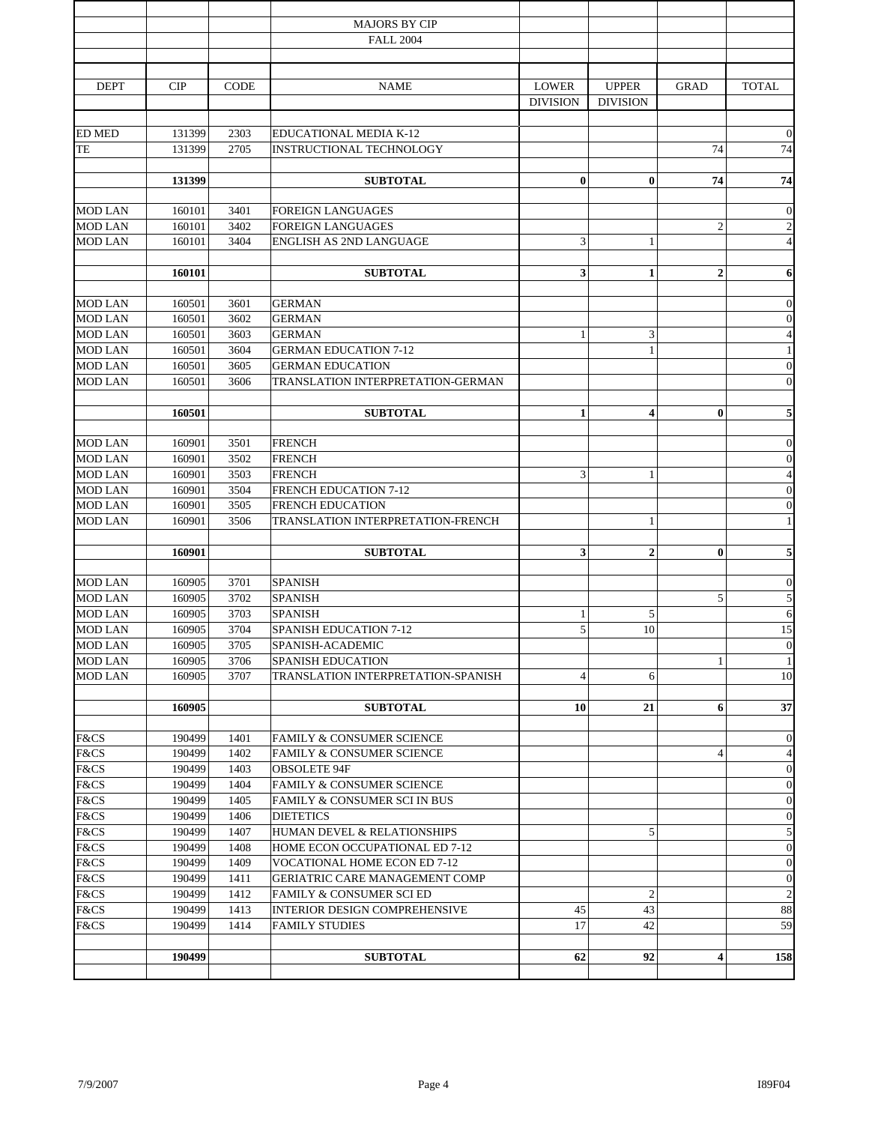|                                  | 190499           |              | <b>SUBTOTAL</b>                                        | 62                              | 92                              | 4              | 158                                |
|----------------------------------|------------------|--------------|--------------------------------------------------------|---------------------------------|---------------------------------|----------------|------------------------------------|
| F&CS                             | 190499           | 1414         | <b>FAMILY STUDIES</b>                                  | 17                              | 42                              |                | 59                                 |
| F&CS                             | 190499           | 1413         | INTERIOR DESIGN COMPREHENSIVE                          | 45                              | 43                              |                | 88                                 |
| F&CS                             | 190499           | 1412         | FAMILY & CONSUMER SCI ED                               |                                 | $\overline{2}$                  |                | $\sqrt{2}$                         |
| F&CS                             | 190499           | 1411         | GERIATRIC CARE MANAGEMENT COMP                         |                                 |                                 |                | $\mathbf{0}$                       |
| F&CS                             | 190499           | 1409         | VOCATIONAL HOME ECON ED 7-12                           |                                 |                                 |                | $\mathbf{0}$                       |
| F&CS                             | 190499           | 1408         | HOME ECON OCCUPATIONAL ED 7-12                         |                                 |                                 |                | $\mathbf{0}$                       |
| F&CS                             | 190499           | 1407         | HUMAN DEVEL & RELATIONSHIPS                            |                                 | 5                               |                | $\sqrt{5}$                         |
| F&CS                             | 190499           | 1406         | <b>DIETETICS</b>                                       |                                 |                                 |                | $\mathbf{0}$                       |
| F&CS                             | 190499           | 1405         | <b>FAMILY &amp; CONSUMER SCI IN BUS</b>                |                                 |                                 |                | $\mathbf{0}$                       |
| F&CS                             | 190499           | 1404         | FAMILY & CONSUMER SCIENCE                              |                                 |                                 |                | $\mathbf{0}$                       |
| F&CS                             | 190499           | 1403         | <b>OBSOLETE 94F</b>                                    |                                 |                                 |                | $\mathbf{0}$                       |
| F&CS<br>F&CS                     | 190499<br>190499 | 1401<br>1402 | FAMILY & CONSUMER SCIENCE<br>FAMILY & CONSUMER SCIENCE |                                 |                                 | $\overline{4}$ | $\boldsymbol{0}$<br>$\overline{4}$ |
|                                  |                  |              |                                                        |                                 |                                 |                |                                    |
|                                  | 160905           |              | <b>SUBTOTAL</b>                                        | 10                              | 21                              | 6              | 37                                 |
|                                  |                  |              |                                                        |                                 |                                 |                |                                    |
| <b>MOD LAN</b>                   | 160905           | 3707         | TRANSLATION INTERPRETATION-SPANISH                     | 4                               | 6                               |                | 10                                 |
| <b>MOD LAN</b>                   | 160905           | 3706         | <b>SPANISH EDUCATION</b>                               |                                 |                                 | $\mathbf{1}$   | $\mathbf{1}$                       |
| <b>MOD LAN</b>                   | 160905           | 3705         | SPANISH-ACADEMIC                                       |                                 |                                 |                | $\mathbf{0}$                       |
| <b>MOD LAN</b>                   | 160905           | 3704         | <b>SPANISH EDUCATION 7-12</b>                          | 1<br>5                          | 10                              |                | 15                                 |
| <b>MOD LAN</b><br><b>MOD LAN</b> | 160905<br>160905 | 3702<br>3703 | <b>SPANISH</b><br><b>SPANISH</b>                       |                                 | 5                               | 5              | $\sqrt{5}$<br>6                    |
| <b>MOD LAN</b>                   | 160905           | 3701         | <b>SPANISH</b>                                         |                                 |                                 |                | $\mathbf{0}$                       |
|                                  |                  |              |                                                        |                                 |                                 |                |                                    |
|                                  | 160901           |              | <b>SUBTOTAL</b>                                        | 3                               | $\overline{2}$                  | $\bf{0}$       | $\overline{\mathbf{5}}$            |
|                                  |                  |              |                                                        |                                 |                                 |                |                                    |
| <b>MOD LAN</b>                   | 160901           | 3506         | TRANSLATION INTERPRETATION-FRENCH                      |                                 | $\mathbf{1}$                    |                | $\,1\,$                            |
| <b>MOD LAN</b>                   | 160901           | 3505         | <b>FRENCH EDUCATION</b>                                |                                 |                                 |                | $\boldsymbol{0}$                   |
| <b>MOD LAN</b><br><b>MOD LAN</b> | 160901<br>160901 | 3503<br>3504 | <b>FRENCH</b><br><b>FRENCH EDUCATION 7-12</b>          | 3                               | $\mathbf{1}$                    |                | $\sqrt{4}$<br>$\boldsymbol{0}$     |
| <b>MOD LAN</b>                   | 160901           | 3502         | <b>FRENCH</b>                                          |                                 |                                 |                | $\mathbf{0}$                       |
| <b>MOD LAN</b>                   | 160901           | 3501         | <b>FRENCH</b>                                          |                                 |                                 |                | $\mathbf{0}$                       |
|                                  |                  |              |                                                        |                                 |                                 |                |                                    |
|                                  | 160501           |              | <b>SUBTOTAL</b>                                        | $\mathbf{1}$                    | $\overline{\mathbf{4}}$         | $\bf{0}$       | $\sqrt{5}$                         |
|                                  |                  |              |                                                        |                                 |                                 |                |                                    |
| <b>MOD LAN</b>                   | 160501           | 3606         | TRANSLATION INTERPRETATION-GERMAN                      |                                 |                                 |                | $\mathbf{0}$                       |
| <b>MOD LAN</b>                   | 160501           | 3605         | <b>GERMAN EDUCATION</b>                                |                                 |                                 |                | $\boldsymbol{0}$                   |
| <b>MOD LAN</b><br><b>MOD LAN</b> | 160501<br>160501 | 3603<br>3604 | <b>GERMAN</b><br><b>GERMAN EDUCATION 7-12</b>          | 1                               | 3<br>$\mathbf{1}$               |                | $\sqrt{4}$<br>$\,1\,$              |
| <b>MOD LAN</b>                   | 160501           | 3602         | <b>GERMAN</b>                                          |                                 |                                 |                | $\boldsymbol{0}$                   |
| <b>MOD LAN</b>                   | 160501           | 3601         | <b>GERMAN</b>                                          |                                 |                                 |                | $\boldsymbol{0}$                   |
|                                  |                  |              |                                                        |                                 |                                 |                |                                    |
|                                  | 160101           |              | <b>SUBTOTAL</b>                                        | 3                               | $\mathbf{1}$                    | $\mathbf{2}$   | 6                                  |
| <b>MOD LAN</b>                   | 160101           | 3404         | ENGLISH AS 2ND LANGUAGE                                | 3                               | 1                               |                | $\sqrt{4}$                         |
| <b>MOD LAN</b>                   | 160101           | 3402         | <b>FOREIGN LANGUAGES</b>                               |                                 |                                 | $\overline{c}$ | $\sqrt{2}$                         |
| <b>MOD LAN</b>                   | 160101           | 3401         | <b>FOREIGN LANGUAGES</b>                               |                                 |                                 |                | $\boldsymbol{0}$                   |
|                                  |                  |              |                                                        |                                 |                                 |                |                                    |
|                                  | 131399           |              | <b>SUBTOTAL</b>                                        | $\bf{0}$                        | $\bf{0}$                        | 74             | 74                                 |
| TE                               | 131399           | 2705         | <b>INSTRUCTIONAL TECHNOLOGY</b>                        |                                 |                                 | 74             | 74                                 |
| <b>ED MED</b>                    | 131399           | 2303         | EDUCATIONAL MEDIA K-12                                 |                                 |                                 |                | $\mathbf{0}$                       |
|                                  |                  |              |                                                        |                                 |                                 |                |                                    |
| <b>DEPT</b>                      | <b>CIP</b>       | <b>CODE</b>  | <b>NAME</b>                                            | <b>LOWER</b><br><b>DIVISION</b> | <b>UPPER</b><br><b>DIVISION</b> | <b>GRAD</b>    | <b>TOTAL</b>                       |
|                                  |                  |              |                                                        |                                 |                                 |                |                                    |
|                                  |                  |              |                                                        |                                 |                                 |                |                                    |
|                                  |                  |              | <b>FALL 2004</b>                                       |                                 |                                 |                |                                    |
|                                  |                  |              | <b>MAJORS BY CIP</b>                                   |                                 |                                 |                |                                    |
|                                  |                  |              |                                                        |                                 |                                 |                |                                    |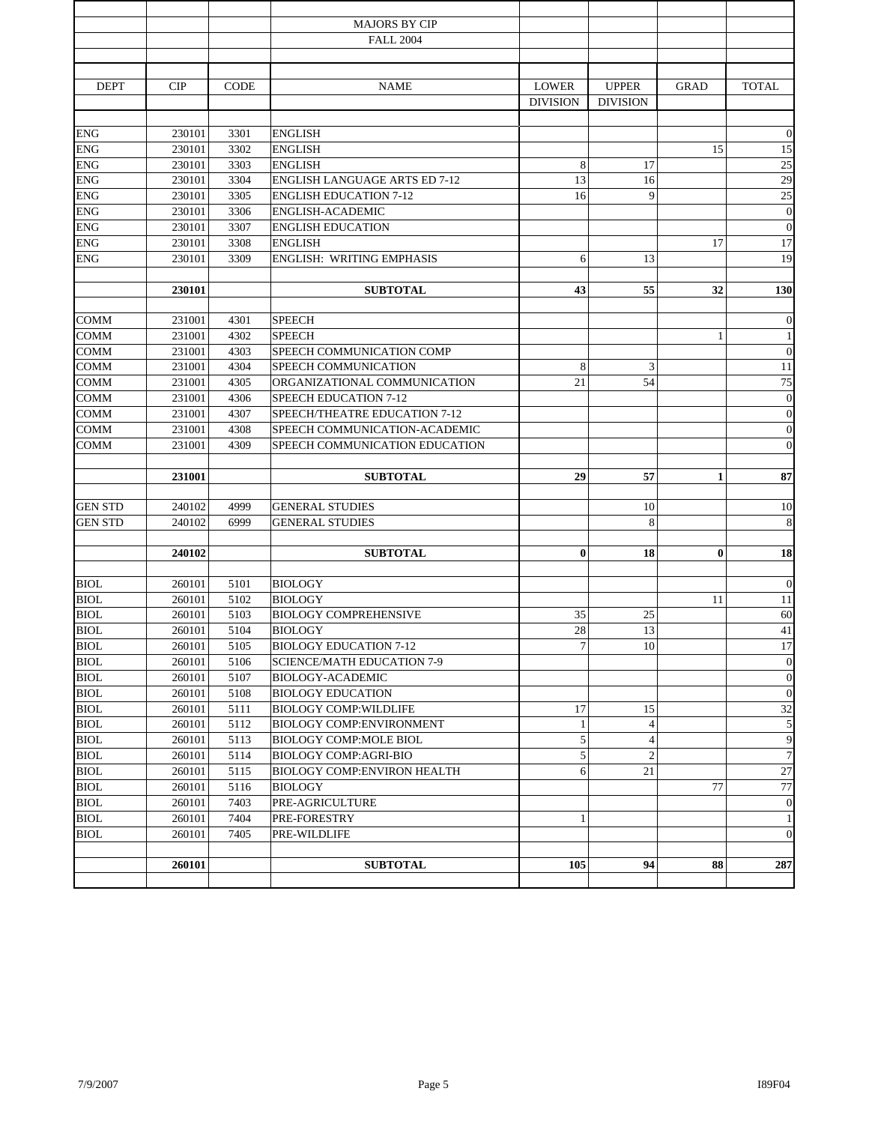|                |        |             | <b>MAJORS BY CIP</b>                 |                 |                 |              |                  |
|----------------|--------|-------------|--------------------------------------|-----------------|-----------------|--------------|------------------|
|                |        |             | <b>FALL 2004</b>                     |                 |                 |              |                  |
|                |        |             |                                      |                 |                 |              |                  |
|                |        |             |                                      |                 |                 |              |                  |
| <b>DEPT</b>    | CIP    | <b>CODE</b> | <b>NAME</b>                          | <b>LOWER</b>    | <b>UPPER</b>    | <b>GRAD</b>  | <b>TOTAL</b>     |
|                |        |             |                                      | <b>DIVISION</b> | <b>DIVISION</b> |              |                  |
| <b>ENG</b>     | 230101 | 3301        | <b>ENGLISH</b>                       |                 |                 |              | $\boldsymbol{0}$ |
| <b>ENG</b>     | 230101 | 3302        | <b>ENGLISH</b>                       |                 |                 | 15           | 15               |
| <b>ENG</b>     | 230101 | 3303        | <b>ENGLISH</b>                       | 8               | 17              |              | 25               |
| <b>ENG</b>     | 230101 | 3304        | <b>ENGLISH LANGUAGE ARTS ED 7-12</b> | 13              | 16              |              | 29               |
| <b>ENG</b>     | 230101 | 3305        | <b>ENGLISH EDUCATION 7-12</b>        | 16              | 9               |              | 25               |
| <b>ENG</b>     | 230101 | 3306        | ENGLISH-ACADEMIC                     |                 |                 |              | $\boldsymbol{0}$ |
| <b>ENG</b>     | 230101 | 3307        | <b>ENGLISH EDUCATION</b>             |                 |                 |              | $\boldsymbol{0}$ |
| <b>ENG</b>     | 230101 | 3308        | <b>ENGLISH</b>                       |                 |                 | 17           | $17\,$           |
| <b>ENG</b>     | 230101 | 3309        | ENGLISH: WRITING EMPHASIS            | 6               | 13              |              | 19               |
|                |        |             |                                      |                 |                 |              |                  |
|                | 230101 |             | <b>SUBTOTAL</b>                      | 43              | 55              | 32           | 130              |
|                |        |             |                                      |                 |                 |              |                  |
| <b>COMM</b>    | 231001 | 4301        | <b>SPEECH</b>                        |                 |                 |              | $\mathbf{0}$     |
| <b>COMM</b>    | 231001 | 4302        | <b>SPEECH</b>                        |                 |                 | 1            | $\mathbf{1}$     |
| <b>COMM</b>    | 231001 | 4303        | SPEECH COMMUNICATION COMP            |                 |                 |              | $\mathbf{0}$     |
| <b>COMM</b>    | 231001 | 4304        | SPEECH COMMUNICATION                 | 8               | 3               |              | $11\,$           |
| <b>COMM</b>    | 231001 | 4305        | ORGANIZATIONAL COMMUNICATION         | 21              | 54              |              | 75               |
| <b>COMM</b>    | 231001 | 4306        | <b>SPEECH EDUCATION 7-12</b>         |                 |                 |              | $\boldsymbol{0}$ |
| <b>COMM</b>    | 231001 | 4307        | SPEECH/THEATRE EDUCATION 7-12        |                 |                 |              | $\boldsymbol{0}$ |
| <b>COMM</b>    | 231001 | 4308        | SPEECH COMMUNICATION-ACADEMIC        |                 |                 |              | $\boldsymbol{0}$ |
| COMM           | 231001 | 4309        | SPEECH COMMUNICATION EDUCATION       |                 |                 |              | $\mathbf{0}$     |
|                |        |             |                                      |                 |                 |              |                  |
|                | 231001 |             | <b>SUBTOTAL</b>                      | 29              | 57              | $\mathbf{1}$ | 87               |
| <b>GEN STD</b> | 240102 | 4999        | <b>GENERAL STUDIES</b>               |                 | 10              |              | 10               |
| <b>GEN STD</b> | 240102 | 6999        | <b>GENERAL STUDIES</b>               |                 | 8               |              | $\,8\,$          |
|                |        |             |                                      |                 |                 |              |                  |
|                | 240102 |             | <b>SUBTOTAL</b>                      | $\bf{0}$        | 18              | $\bf{0}$     | 18               |
|                |        |             |                                      |                 |                 |              |                  |
| <b>BIOL</b>    | 260101 | 5101        | <b>BIOLOGY</b>                       |                 |                 |              | $\boldsymbol{0}$ |
| <b>BIOL</b>    | 260101 | 5102        | <b>BIOLOGY</b>                       |                 |                 | 11           | 11               |
| <b>BIOL</b>    | 260101 | 5103        | <b>BIOLOGY COMPREHENSIVE</b>         | 35              | 25              |              | 60               |
| <b>BIOL</b>    | 260101 | 5104        | <b>BIOLOGY</b>                       | 28              | 13              |              | 41               |
| <b>BIOL</b>    | 260101 | 5105        | <b>BIOLOGY EDUCATION 7-12</b>        | 7               | 10              |              | 17               |
| <b>BIOL</b>    | 260101 | 5106        | <b>SCIENCE/MATH EDUCATION 7-9</b>    |                 |                 |              | $\mathbf{0}$     |
| <b>BIOL</b>    | 260101 | 5107        | BIOLOGY-ACADEMIC                     |                 |                 |              | $\mathbf{0}$     |
| <b>BIOL</b>    | 260101 | 5108        | <b>BIOLOGY EDUCATION</b>             |                 |                 |              | $\boldsymbol{0}$ |
| <b>BIOL</b>    | 260101 | 5111        | <b>BIOLOGY COMP: WILDLIFE</b>        | 17              | 15              |              | 32               |
| <b>BIOL</b>    | 260101 | 5112        | <b>BIOLOGY COMP:ENVIRONMENT</b>      | 1               | $\overline{4}$  |              | 5                |
| <b>BIOL</b>    | 260101 | 5113        | BIOLOGY COMP:MOLE BIOL               | 5               | $\overline{4}$  |              | $\boldsymbol{9}$ |
| <b>BIOL</b>    | 260101 | 5114        | <b>BIOLOGY COMP:AGRI-BIO</b>         | 5               | $\sqrt{2}$      |              | $\overline{7}$   |
| <b>BIOL</b>    | 260101 | 5115        | <b>BIOLOGY COMP:ENVIRON HEALTH</b>   | 6               | 21              |              | 27               |
| <b>BIOL</b>    | 260101 | 5116        | <b>BIOLOGY</b>                       |                 |                 | 77           | 77               |
| <b>BIOL</b>    | 260101 | 7403        | PRE-AGRICULTURE                      |                 |                 |              | $\theta$         |
| BIOL           | 260101 | 7404        | PRE-FORESTRY                         | 1               |                 |              | $\mathbf{1}$     |
| <b>BIOL</b>    | 260101 | 7405        | PRE-WILDLIFE                         |                 |                 |              | $\mathbf{0}$     |
|                |        |             |                                      |                 |                 |              |                  |
|                | 260101 |             | <b>SUBTOTAL</b>                      | 105             | 94              | 88           | 287              |
|                |        |             |                                      |                 |                 |              |                  |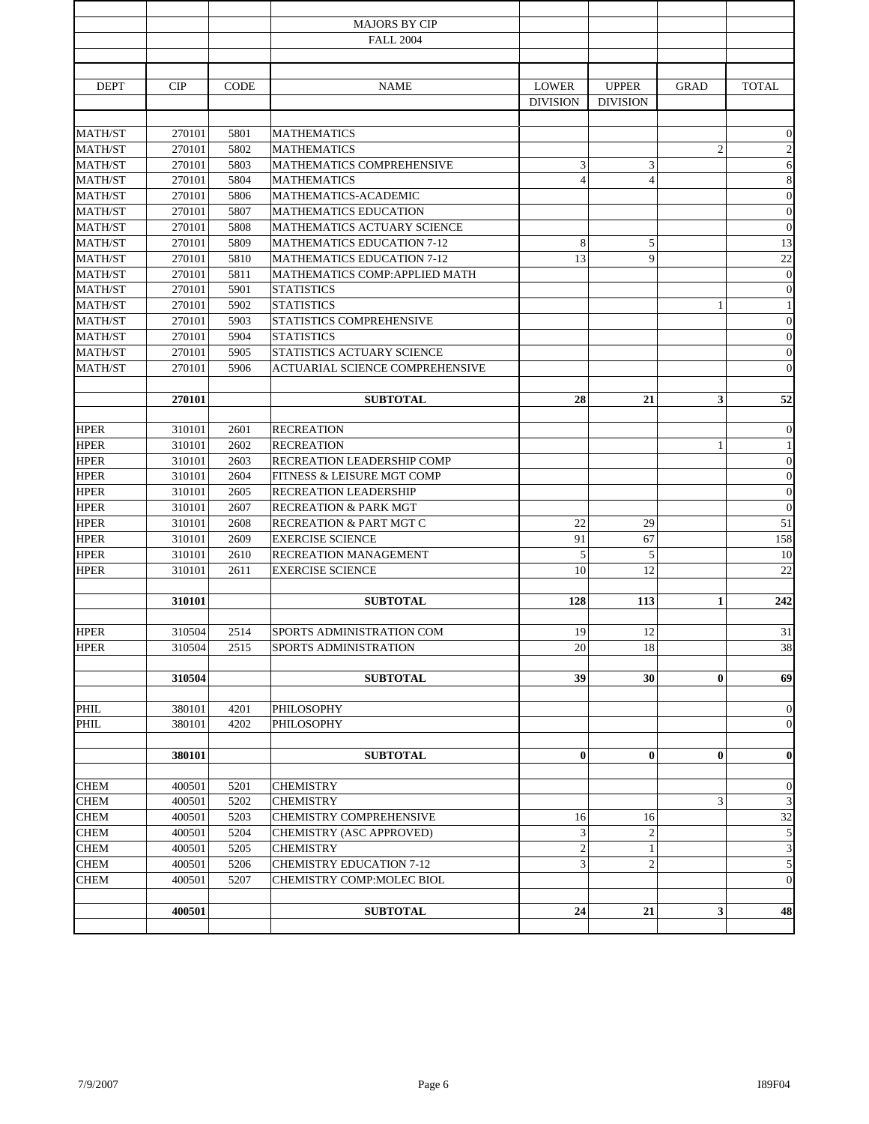|                |        |             | <b>MAJORS BY CIP</b>              |                 |                 |                |                  |
|----------------|--------|-------------|-----------------------------------|-----------------|-----------------|----------------|------------------|
|                |        |             | <b>FALL 2004</b>                  |                 |                 |                |                  |
|                |        |             |                                   |                 |                 |                |                  |
| <b>DEPT</b>    | CIP    | <b>CODE</b> | <b>NAME</b>                       | <b>LOWER</b>    | <b>UPPER</b>    | <b>GRAD</b>    | <b>TOTAL</b>     |
|                |        |             |                                   | <b>DIVISION</b> | <b>DIVISION</b> |                |                  |
| <b>MATH/ST</b> | 270101 | 5801        | <b>MATHEMATICS</b>                |                 |                 |                | $\boldsymbol{0}$ |
| <b>MATH/ST</b> | 270101 | 5802        | <b>MATHEMATICS</b>                |                 |                 | $\overline{c}$ | $\sqrt{2}$       |
| <b>MATH/ST</b> | 270101 | 5803        | <b>MATHEMATICS COMPREHENSIVE</b>  | 3               | 3               |                | 6                |
| <b>MATH/ST</b> | 270101 | 5804        | <b>MATHEMATICS</b>                | $\overline{4}$  | $\overline{4}$  |                | $\overline{8}$   |
| <b>MATH/ST</b> | 270101 | 5806        | MATHEMATICS-ACADEMIC              |                 |                 |                | $\mathbf{0}$     |
| <b>MATH/ST</b> | 270101 | 5807        | <b>MATHEMATICS EDUCATION</b>      |                 |                 |                | $\boldsymbol{0}$ |
| <b>MATH/ST</b> | 270101 | 5808        | MATHEMATICS ACTUARY SCIENCE       |                 |                 |                | $\boldsymbol{0}$ |
| <b>MATH/ST</b> | 270101 | 5809        | <b>MATHEMATICS EDUCATION 7-12</b> | 8               | 5               |                | 13               |
| <b>MATH/ST</b> | 270101 | 5810        | <b>MATHEMATICS EDUCATION 7-12</b> | 13              | 9               |                | $22\,$           |
| <b>MATH/ST</b> | 270101 | 5811        | MATHEMATICS COMP:APPLIED MATH     |                 |                 |                | $\mathbf{0}$     |
| <b>MATH/ST</b> | 270101 | 5901        | <b>STATISTICS</b>                 |                 |                 |                | $\boldsymbol{0}$ |
| <b>MATH/ST</b> | 270101 | 5902        | <b>STATISTICS</b>                 |                 |                 | 1              | $\,1\,$          |
| <b>MATH/ST</b> | 270101 | 5903        | STATISTICS COMPREHENSIVE          |                 |                 |                | $\mathbf{0}$     |
| <b>MATH/ST</b> | 270101 | 5904        | <b>STATISTICS</b>                 |                 |                 |                | $\boldsymbol{0}$ |
| <b>MATH/ST</b> | 270101 | 5905        | STATISTICS ACTUARY SCIENCE        |                 |                 |                | $\boldsymbol{0}$ |
| <b>MATH/ST</b> | 270101 | 5906        | ACTUARIAL SCIENCE COMPREHENSIVE   |                 |                 |                | $\mathbf{0}$     |
|                |        |             |                                   |                 |                 |                |                  |
|                | 270101 |             | <b>SUBTOTAL</b>                   | 28              | 21              | 3              | 52               |
| <b>HPER</b>    | 310101 | 2601        | <b>RECREATION</b>                 |                 |                 |                | $\mathbf{0}$     |
| <b>HPER</b>    | 310101 | 2602        | <b>RECREATION</b>                 |                 |                 | 1              | $\mathbf{1}$     |
| <b>HPER</b>    | 310101 | 2603        | RECREATION LEADERSHIP COMP        |                 |                 |                | $\boldsymbol{0}$ |
| <b>HPER</b>    | 310101 | 2604        | FITNESS & LEISURE MGT COMP        |                 |                 |                | $\boldsymbol{0}$ |
| <b>HPER</b>    | 310101 | 2605        | RECREATION LEADERSHIP             |                 |                 |                | $\mathbf{0}$     |
| <b>HPER</b>    | 310101 | 2607        | <b>RECREATION &amp; PARK MGT</b>  |                 |                 |                | $\mathbf{0}$     |
| <b>HPER</b>    | 310101 | 2608        | RECREATION & PART MGT C           | 22              | 29              |                | 51               |
| <b>HPER</b>    | 310101 | 2609        | <b>EXERCISE SCIENCE</b>           | 91              | 67              |                | 158              |
| <b>HPER</b>    | 310101 | 2610        | RECREATION MANAGEMENT             | 5               | 5               |                | 10               |
| <b>HPER</b>    | 310101 | 2611        | <b>EXERCISE SCIENCE</b>           | 10              | 12              |                | 22               |
|                |        |             |                                   |                 |                 |                |                  |
|                | 310101 |             | <b>SUBTOTAL</b>                   | 128             | 113             | 1              | 242              |
|                |        |             |                                   |                 |                 |                |                  |
| <b>HPER</b>    | 310504 | 2514        | SPORTS ADMINISTRATION COM         | 19              | 12              |                | 31               |
| <b>HPER</b>    | 310504 | 2515        | SPORTS ADMINISTRATION             | 20              | 18              |                | 38               |
|                | 310504 |             | <b>SUBTOTAL</b>                   | 39              | 30              | $\bf{0}$       | 69               |
|                |        |             |                                   |                 |                 |                |                  |
| <b>PHIL</b>    | 380101 | 4201        | PHILOSOPHY                        |                 |                 |                | $\mathbf{0}$     |
| PHIL           | 380101 | 4202        | PHILOSOPHY                        |                 |                 |                | $\boldsymbol{0}$ |
|                | 380101 |             | <b>SUBTOTAL</b>                   | $\bf{0}$        | $\bf{0}$        | $\bf{0}$       | $\bf{0}$         |
|                |        |             |                                   |                 |                 |                |                  |
| <b>CHEM</b>    | 400501 | 5201        | <b>CHEMISTRY</b>                  |                 |                 |                | $\boldsymbol{0}$ |
| <b>CHEM</b>    | 400501 | 5202        | <b>CHEMISTRY</b>                  |                 |                 | 3              | $\mathfrak{Z}$   |
| <b>CHEM</b>    | 400501 | 5203        | CHEMISTRY COMPREHENSIVE           | 16              | 16              |                | 32               |
| <b>CHEM</b>    | 400501 | 5204        | CHEMISTRY (ASC APPROVED)          | 3               | $\sqrt{2}$      |                | $\sqrt{5}$       |
| <b>CHEM</b>    | 400501 | 5205        | <b>CHEMISTRY</b>                  | $\mathfrak{2}$  | $\,1\,$         |                | $\mathfrak{Z}$   |
| <b>CHEM</b>    | 400501 | 5206        | <b>CHEMISTRY EDUCATION 7-12</b>   | 3               | $\overline{c}$  |                | $\sqrt{5}$       |
| <b>CHEM</b>    | 400501 | 5207        | CHEMISTRY COMP:MOLEC BIOL         |                 |                 |                | $\mathbf{0}$     |
|                | 400501 |             | <b>SUBTOTAL</b>                   | 24              | 21              | 3              | 48               |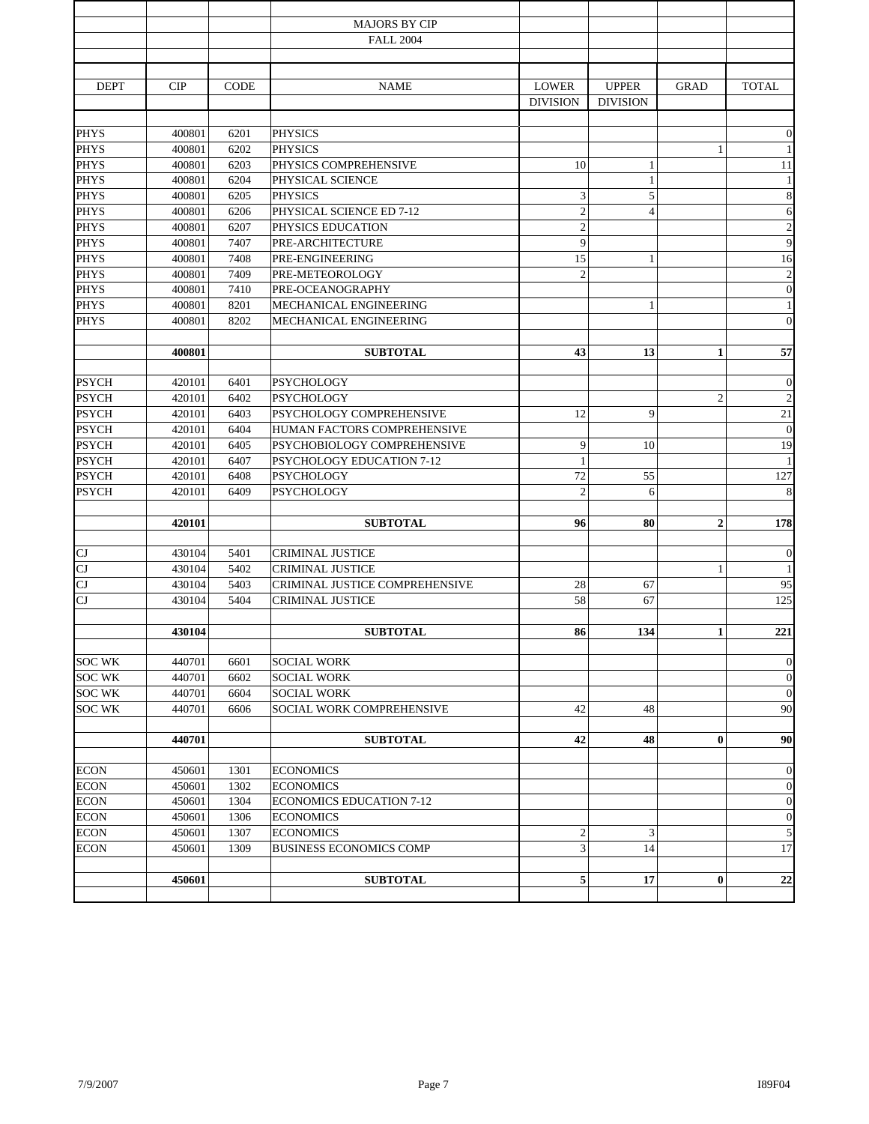|               |            |             | <b>MAJORS BY CIP</b>            |                  |                 |                |                  |
|---------------|------------|-------------|---------------------------------|------------------|-----------------|----------------|------------------|
|               |            |             | <b>FALL 2004</b>                |                  |                 |                |                  |
|               |            |             |                                 |                  |                 |                |                  |
|               |            |             |                                 |                  |                 |                |                  |
| <b>DEPT</b>   | <b>CIP</b> | <b>CODE</b> | <b>NAME</b>                     | <b>LOWER</b>     | <b>UPPER</b>    | <b>GRAD</b>    | <b>TOTAL</b>     |
|               |            |             |                                 | <b>DIVISION</b>  | <b>DIVISION</b> |                |                  |
|               |            |             |                                 |                  |                 |                |                  |
| <b>PHYS</b>   | 400801     | 6201        | <b>PHYSICS</b>                  |                  |                 |                | $\mathbf{0}$     |
| <b>PHYS</b>   | 400801     | 6202        | <b>PHYSICS</b>                  |                  |                 | 1              | $\mathbf{1}$     |
| <b>PHYS</b>   | 400801     | 6203        | PHYSICS COMPREHENSIVE           | 10               | $\mathbf{1}$    |                | 11               |
| <b>PHYS</b>   | 400801     | 6204        | PHYSICAL SCIENCE                |                  | $\mathbf{1}$    |                | $\mathbf{1}$     |
| <b>PHYS</b>   | 400801     | 6205        | <b>PHYSICS</b>                  | 3                | $\sqrt{5}$      |                | $\,$ 8 $\,$      |
| <b>PHYS</b>   | 400801     | 6206        | PHYSICAL SCIENCE ED 7-12        | $\overline{2}$   | $\overline{4}$  |                | $\sqrt{6}$       |
| <b>PHYS</b>   | 400801     | 6207        | PHYSICS EDUCATION               | $\overline{c}$   |                 |                | $\overline{c}$   |
| <b>PHYS</b>   | 400801     | 7407        | PRE-ARCHITECTURE                | 9                |                 |                | $\mathbf{9}$     |
| <b>PHYS</b>   | 400801     | 7408        | PRE-ENGINEERING                 | 15               | $\mathbf{1}$    |                | 16               |
| <b>PHYS</b>   | 400801     | 7409        | PRE-METEOROLOGY                 | $\mathfrak{2}$   |                 |                | $\sqrt{2}$       |
| <b>PHYS</b>   | 400801     | 7410        | PRE-OCEANOGRAPHY                |                  |                 |                | $\mathbf{0}$     |
| <b>PHYS</b>   | 400801     | 8201        | MECHANICAL ENGINEERING          |                  | $\mathbf{1}$    |                | $\mathbf{1}$     |
| <b>PHYS</b>   | 400801     | 8202        | MECHANICAL ENGINEERING          |                  |                 |                | $\boldsymbol{0}$ |
|               |            |             |                                 |                  |                 |                |                  |
|               | 400801     |             | <b>SUBTOTAL</b>                 | 43               | 13              | $\mathbf{1}$   | 57               |
|               |            |             |                                 |                  |                 |                |                  |
| <b>PSYCH</b>  | 420101     | 6401        | <b>PSYCHOLOGY</b>               |                  |                 |                | $\mathbf{0}$     |
| <b>PSYCH</b>  | 420101     | 6402        | <b>PSYCHOLOGY</b>               |                  |                 | $\overline{c}$ | $\sqrt{2}$       |
| <b>PSYCH</b>  | 420101     | 6403        | PSYCHOLOGY COMPREHENSIVE        | 12               | 9               |                | 21               |
| <b>PSYCH</b>  | 420101     | 6404        | HUMAN FACTORS COMPREHENSIVE     |                  |                 |                | $\boldsymbol{0}$ |
| <b>PSYCH</b>  | 420101     | 6405        | PSYCHOBIOLOGY COMPREHENSIVE     | 9                | 10              |                | 19               |
| <b>PSYCH</b>  | 420101     | 6407        | PSYCHOLOGY EDUCATION 7-12       | 1                |                 |                | $\mathbf{1}$     |
| <b>PSYCH</b>  | 420101     | 6408        | <b>PSYCHOLOGY</b>               | 72               | 55              |                | 127              |
| <b>PSYCH</b>  | 420101     | 6409        | PSYCHOLOGY                      | $\overline{2}$   | 6               |                | $\,$ 8 $\,$      |
|               |            |             |                                 |                  |                 |                |                  |
|               | 420101     |             | <b>SUBTOTAL</b>                 | 96               | 80              | $\overline{2}$ | 178              |
|               |            |             |                                 |                  |                 |                |                  |
| CJ            | 430104     | 5401        | <b>CRIMINAL JUSTICE</b>         |                  |                 |                | $\mathbf{0}$     |
| CJ            | 430104     | 5402        | <b>CRIMINAL JUSTICE</b>         |                  |                 | 1              | $\mathbf{1}$     |
| CJ            | 430104     | 5403        | CRIMINAL JUSTICE COMPREHENSIVE  | 28               | 67              |                | 95               |
| CJ            | 430104     | 5404        | <b>CRIMINAL JUSTICE</b>         | 58               | 67              |                | 125              |
|               |            |             |                                 |                  |                 |                |                  |
|               | 430104     |             | <b>SUBTOTAL</b>                 | 86               | 134             | $\mathbf{1}$   | 221              |
|               |            |             |                                 |                  |                 |                |                  |
| <b>SOC WK</b> | 440701     | 6601        | <b>SOCIAL WORK</b>              |                  |                 |                | $\mathbf{0}$     |
| <b>SOC WK</b> | 440701     | 6602        | <b>SOCIAL WORK</b>              |                  |                 |                | $\mathbf{0}$     |
| <b>SOC WK</b> | 440701     | 6604        | <b>SOCIAL WORK</b>              |                  |                 |                | $\boldsymbol{0}$ |
| <b>SOC WK</b> | 440701     | 6606        | SOCIAL WORK COMPREHENSIVE       | 42               | 48              |                | 90               |
|               |            |             |                                 |                  |                 |                |                  |
|               | 440701     |             | <b>SUBTOTAL</b>                 | 42               | 48              | $\bf{0}$       | 90               |
|               |            |             |                                 |                  |                 |                |                  |
| <b>ECON</b>   | 450601     | 1301        | <b>ECONOMICS</b>                |                  |                 |                | $\mathbf{0}$     |
| <b>ECON</b>   | 450601     | 1302        | <b>ECONOMICS</b>                |                  |                 |                | $\boldsymbol{0}$ |
| <b>ECON</b>   | 450601     | 1304        | <b>ECONOMICS EDUCATION 7-12</b> |                  |                 |                | $\boldsymbol{0}$ |
| <b>ECON</b>   | 450601     | 1306        | <b>ECONOMICS</b>                |                  |                 |                | $\mathbf{0}$     |
| <b>ECON</b>   | 450601     | 1307        | <b>ECONOMICS</b>                | $\boldsymbol{2}$ | 3               |                | $\sqrt{5}$       |
| <b>ECON</b>   | 450601     | 1309        | <b>BUSINESS ECONOMICS COMP</b>  | 3                | 14              |                | 17               |
|               |            |             |                                 |                  |                 |                |                  |
|               | 450601     |             | <b>SUBTOTAL</b>                 | 5                | 17              | $\bf{0}$       | $\bf{22}$        |
|               |            |             |                                 |                  |                 |                |                  |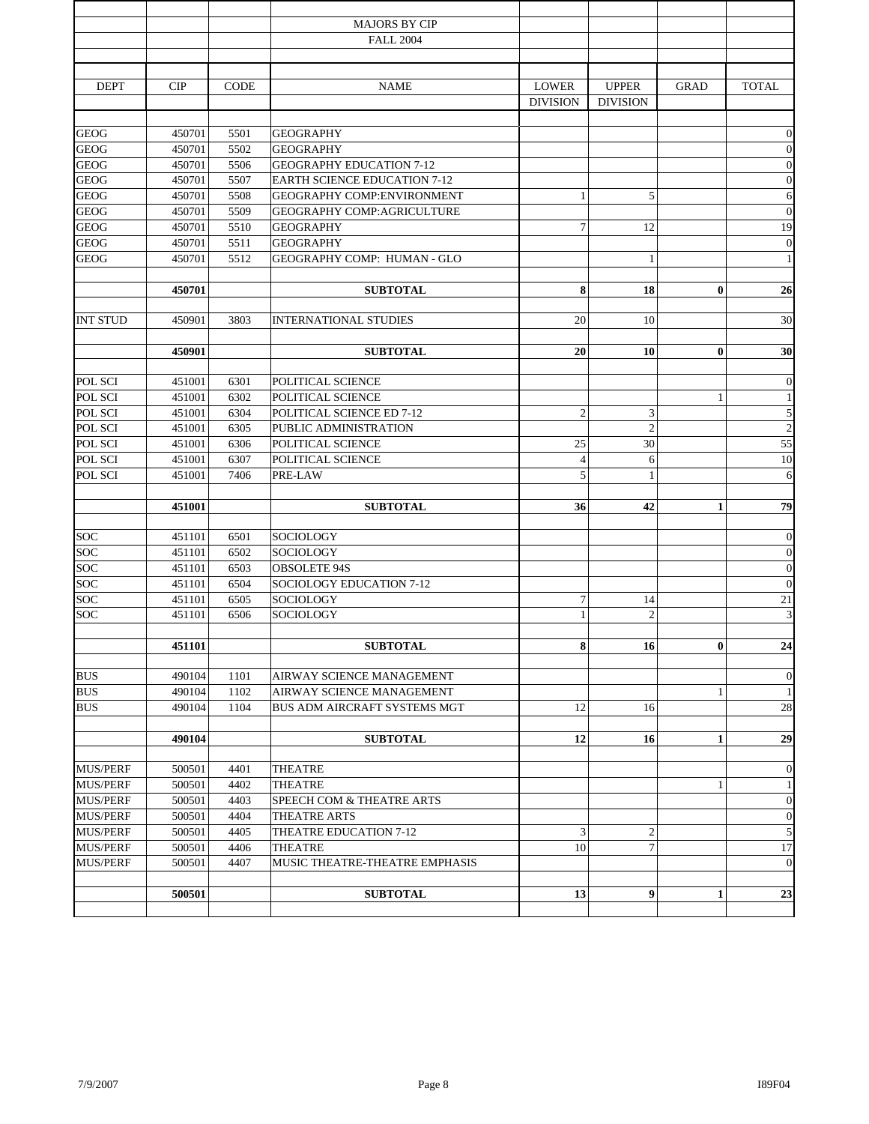|                 |        |             | <b>MAJORS BY CIP</b>                |                 |                  |              |                  |
|-----------------|--------|-------------|-------------------------------------|-----------------|------------------|--------------|------------------|
|                 |        |             | <b>FALL 2004</b>                    |                 |                  |              |                  |
|                 |        |             |                                     |                 |                  |              |                  |
| <b>DEPT</b>     | CIP    | <b>CODE</b> | <b>NAME</b>                         | <b>LOWER</b>    | <b>UPPER</b>     | <b>GRAD</b>  | <b>TOTAL</b>     |
|                 |        |             |                                     | <b>DIVISION</b> | <b>DIVISION</b>  |              |                  |
|                 |        |             |                                     |                 |                  |              |                  |
| <b>GEOG</b>     | 450701 | 5501        | <b>GEOGRAPHY</b>                    |                 |                  |              | $\boldsymbol{0}$ |
| <b>GEOG</b>     | 450701 | 5502        | <b>GEOGRAPHY</b>                    |                 |                  |              | $\mathbf{0}$     |
| <b>GEOG</b>     | 450701 | 5506        | <b>GEOGRAPHY EDUCATION 7-12</b>     |                 |                  |              | $\mathbf{0}$     |
| <b>GEOG</b>     | 450701 | 5507        | <b>EARTH SCIENCE EDUCATION 7-12</b> |                 |                  |              | $\boldsymbol{0}$ |
| <b>GEOG</b>     | 450701 | 5508        | GEOGRAPHY COMP:ENVIRONMENT          | 1               | 5                |              | 6                |
| <b>GEOG</b>     | 450701 | 5509        | <b>GEOGRAPHY COMP:AGRICULTURE</b>   |                 |                  |              | $\boldsymbol{0}$ |
| <b>GEOG</b>     | 450701 | 5510        | <b>GEOGRAPHY</b>                    | $\overline{7}$  | 12               |              | 19               |
| <b>GEOG</b>     | 450701 | 5511        | <b>GEOGRAPHY</b>                    |                 |                  |              | $\boldsymbol{0}$ |
| <b>GEOG</b>     | 450701 | 5512        | GEOGRAPHY COMP: HUMAN - GLO         |                 | $\mathbf{1}$     |              | $\mathbf{1}$     |
|                 | 450701 |             | <b>SUBTOTAL</b>                     | 8               | 18               | $\bf{0}$     | 26               |
|                 |        |             |                                     |                 |                  |              |                  |
| <b>INT STUD</b> | 450901 | 3803        | <b>INTERNATIONAL STUDIES</b>        | 20              | 10               |              | 30               |
|                 | 450901 |             | <b>SUBTOTAL</b>                     | 20              | 10               | $\bf{0}$     | 30               |
|                 |        |             |                                     |                 |                  |              |                  |
| POL SCI         | 451001 | 6301        | POLITICAL SCIENCE                   |                 |                  |              | $\boldsymbol{0}$ |
| POL SCI         | 451001 | 6302        | POLITICAL SCIENCE                   |                 |                  | 1            | $\mathbf{1}$     |
| POL SCI         | 451001 | 6304        | POLITICAL SCIENCE ED 7-12           | $\overline{2}$  | 3                |              | $\overline{5}$   |
| POL SCI         | 451001 | 6305        | PUBLIC ADMINISTRATION               |                 | $\overline{c}$   |              | $\overline{2}$   |
| POL SCI         | 451001 | 6306        | POLITICAL SCIENCE                   | 25              | 30               |              | 55               |
| POL SCI         | 451001 | 6307        | POLITICAL SCIENCE                   | $\overline{4}$  | 6                |              | 10               |
| POL SCI         | 451001 | 7406        | PRE-LAW                             | 5               | $\mathbf{1}$     |              | 6                |
|                 | 451001 |             | <b>SUBTOTAL</b>                     | 36              | 42               | $\mathbf{1}$ | 79               |
|                 |        |             |                                     |                 |                  |              |                  |
| <b>SOC</b>      | 451101 | 6501        | SOCIOLOGY                           |                 |                  |              | $\theta$         |
| SOC             | 451101 | 6502        | SOCIOLOGY                           |                 |                  |              | $\mathbf{0}$     |
| SOC             | 451101 | 6503        | <b>OBSOLETE 94S</b>                 |                 |                  |              | $\boldsymbol{0}$ |
| SOC             | 451101 | 6504        | SOCIOLOGY EDUCATION 7-12            |                 |                  |              | $\overline{0}$   |
| SOC             | 451101 | 6505        | <b>SOCIOLOGY</b>                    | 7               | 14               |              | 21               |
| <b>SOC</b>      | 451101 | 6506        | SOCIOLOGY                           | $\mathbf{1}$    | $\overline{c}$   |              | 3                |
|                 |        |             |                                     | 8               |                  | $\bf{0}$     |                  |
|                 | 451101 |             | <b>SUBTOTAL</b>                     |                 | 16               |              | 24               |
| <b>BUS</b>      | 490104 | 1101        | AIRWAY SCIENCE MANAGEMENT           |                 |                  |              | $\theta$         |
| <b>BUS</b>      | 490104 | 1102        | AIRWAY SCIENCE MANAGEMENT           |                 |                  | $\mathbf{1}$ | $\mathbf{1}$     |
| <b>BUS</b>      | 490104 | 1104        | BUS ADM AIRCRAFT SYSTEMS MGT        | 12              | 16               |              | 28               |
|                 |        |             |                                     |                 |                  |              |                  |
|                 | 490104 |             | <b>SUBTOTAL</b>                     | 12              | 16               | $\mathbf{1}$ | 29               |
| <b>MUS/PERF</b> | 500501 | 4401        | THEATRE                             |                 |                  |              | $\mathbf{0}$     |
| <b>MUS/PERF</b> | 500501 | 4402        | THEATRE                             |                 |                  | 1            | $\mathbf{1}$     |
| <b>MUS/PERF</b> | 500501 | 4403        | SPEECH COM & THEATRE ARTS           |                 |                  |              | $\mathbf{0}$     |
| <b>MUS/PERF</b> | 500501 | 4404        | THEATRE ARTS                        |                 |                  |              | $\mathbf{0}$     |
| <b>MUS/PERF</b> | 500501 | 4405        | THEATRE EDUCATION 7-12              | 3               | $\mathfrak{2}$   |              | 5                |
| <b>MUS/PERF</b> | 500501 | 4406        | THEATRE                             | 10              | $\boldsymbol{7}$ |              | 17               |
| <b>MUS/PERF</b> | 500501 | 4407        | MUSIC THEATRE-THEATRE EMPHASIS      |                 |                  |              | $\mathbf{0}$     |
|                 |        |             |                                     |                 |                  |              |                  |
|                 | 500501 |             | <b>SUBTOTAL</b>                     | 13              | $\boldsymbol{9}$ | $\mathbf{1}$ | 23               |
|                 |        |             |                                     |                 |                  |              |                  |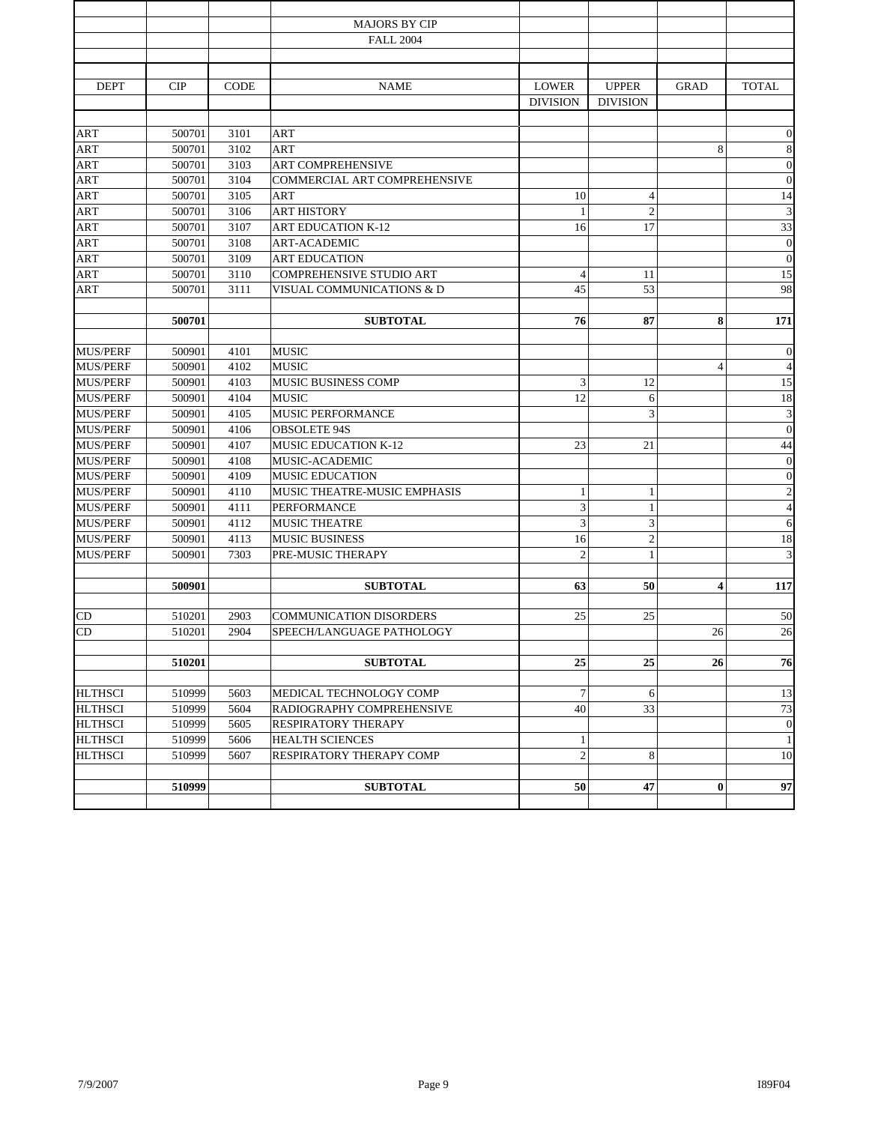|                 |            |             | <b>MAJORS BY CIP</b>            |                 |                 |             |                             |
|-----------------|------------|-------------|---------------------------------|-----------------|-----------------|-------------|-----------------------------|
|                 |            |             | <b>FALL 2004</b>                |                 |                 |             |                             |
|                 |            |             |                                 |                 |                 |             |                             |
| <b>DEPT</b>     | <b>CIP</b> | <b>CODE</b> | <b>NAME</b>                     | <b>LOWER</b>    | <b>UPPER</b>    | <b>GRAD</b> | <b>TOTAL</b>                |
|                 |            |             |                                 | <b>DIVISION</b> | <b>DIVISION</b> |             |                             |
|                 |            |             |                                 |                 |                 |             |                             |
| ART             | 500701     | 3101        | ART                             |                 |                 |             | $\mathbf{0}$                |
| ART             | 500701     | 3102        | <b>ART</b>                      |                 |                 | 8           | $\,$ 8 $\,$                 |
| ART             | 500701     | 3103        | <b>ART COMPREHENSIVE</b>        |                 |                 |             | $\boldsymbol{0}$            |
| <b>ART</b>      | 500701     | 3104        | COMMERCIAL ART COMPREHENSIVE    |                 |                 |             | $\mathbf{0}$                |
| ART             | 500701     | 3105        | ART                             | 10              | $\overline{4}$  |             | 14                          |
| ART             | 500701     | 3106        | <b>ART HISTORY</b>              | 1               | $\overline{2}$  |             | $\ensuremath{\mathfrak{Z}}$ |
| <b>ART</b>      | 500701     | 3107        | <b>ART EDUCATION K-12</b>       | 16              | 17              |             | 33                          |
| ART             | 500701     | 3108        | <b>ART-ACADEMIC</b>             |                 |                 |             | $\boldsymbol{0}$            |
| <b>ART</b>      | 500701     | 3109        | <b>ART EDUCATION</b>            |                 |                 |             | $\mathbf{0}$                |
| ART             | 500701     | 3110        | <b>COMPREHENSIVE STUDIO ART</b> | $\overline{4}$  | 11              |             | 15                          |
| ART             | 500701     | 3111        | VISUAL COMMUNICATIONS & D       | 45              | 53              |             | 98                          |
|                 |            |             |                                 |                 |                 |             |                             |
|                 | 500701     |             | <b>SUBTOTAL</b>                 | 76              | 87              | 8           | 171                         |
| <b>MUS/PERF</b> | 500901     | 4101        | <b>MUSIC</b>                    |                 |                 |             | $\mathbf{0}$                |
| <b>MUS/PERF</b> | 500901     | 4102        | <b>MUSIC</b>                    |                 |                 | 4           | $\overline{4}$              |
| <b>MUS/PERF</b> | 500901     | 4103        | MUSIC BUSINESS COMP             | 3               | 12              |             | 15                          |
| <b>MUS/PERF</b> | 500901     | 4104        | <b>MUSIC</b>                    | 12              | 6               |             | 18                          |
| <b>MUS/PERF</b> | 500901     | 4105        | MUSIC PERFORMANCE               |                 | 3               |             | $\ensuremath{\mathfrak{Z}}$ |
| <b>MUS/PERF</b> | 500901     | 4106        | <b>OBSOLETE 94S</b>             |                 |                 |             | $\boldsymbol{0}$            |
| <b>MUS/PERF</b> | 500901     | 4107        | <b>MUSIC EDUCATION K-12</b>     | 23              | 21              |             | $44\,$                      |
| <b>MUS/PERF</b> | 500901     | 4108        | MUSIC-ACADEMIC                  |                 |                 |             | $\mathbf{0}$                |
| <b>MUS/PERF</b> | 500901     | 4109        | <b>MUSIC EDUCATION</b>          |                 |                 |             | $\boldsymbol{0}$            |
| <b>MUS/PERF</b> | 500901     | 4110        | MUSIC THEATRE-MUSIC EMPHASIS    | 1               | $\mathbf{1}$    |             | $\overline{c}$              |
| <b>MUS/PERF</b> | 500901     | 4111        | <b>PERFORMANCE</b>              | 3               | $\mathbf{1}$    |             | $\overline{4}$              |
| <b>MUS/PERF</b> | 500901     | 4112        | <b>MUSIC THEATRE</b>            | 3               | $\mathfrak{Z}$  |             | 6                           |
| <b>MUS/PERF</b> | 500901     | 4113        | <b>MUSIC BUSINESS</b>           | 16              | $\sqrt{2}$      |             | 18                          |
| <b>MUS/PERF</b> | 500901     | 7303        | PRE-MUSIC THERAPY               | $\overline{2}$  | $\mathbf{1}$    |             | $\mathfrak{Z}$              |
|                 |            |             |                                 |                 |                 |             |                             |
|                 | 500901     |             | <b>SUBTOTAL</b>                 | 63              | 50              | 4           | 117                         |
| CD              | 510201     | 2903        | <b>COMMUNICATION DISORDERS</b>  | 25              | 25              |             | 50                          |
| CD              | 510201     | 2904        | SPEECH/LANGUAGE PATHOLOGY       |                 |                 | 26          | 26                          |
|                 |            |             |                                 |                 |                 |             |                             |
|                 | 510201     |             | <b>SUBTOTAL</b>                 | 25              | 25              | 26          | 76                          |
|                 |            |             |                                 |                 |                 |             |                             |
| <b>HLTHSCI</b>  | 510999     | 5603        | MEDICAL TECHNOLOGY COMP         | 7               | 6               |             | 13                          |
| <b>HLTHSCI</b>  | 510999     | 5604        | RADIOGRAPHY COMPREHENSIVE       | 40              | 33              |             | 73                          |
| <b>HLTHSCI</b>  | 510999     | 5605        | RESPIRATORY THERAPY             |                 |                 |             | $\mathbf{0}$                |
| <b>HLTHSCI</b>  | 510999     | 5606        | <b>HEALTH SCIENCES</b>          | 1               |                 |             | $\mathbf{1}$                |
| <b>HLTHSCI</b>  | 510999     | 5607        | RESPIRATORY THERAPY COMP        | $\overline{c}$  | 8               |             | 10                          |
|                 | 510999     |             | <b>SUBTOTAL</b>                 | 50              | 47              | $\bf{0}$    | 97                          |
|                 |            |             |                                 |                 |                 |             |                             |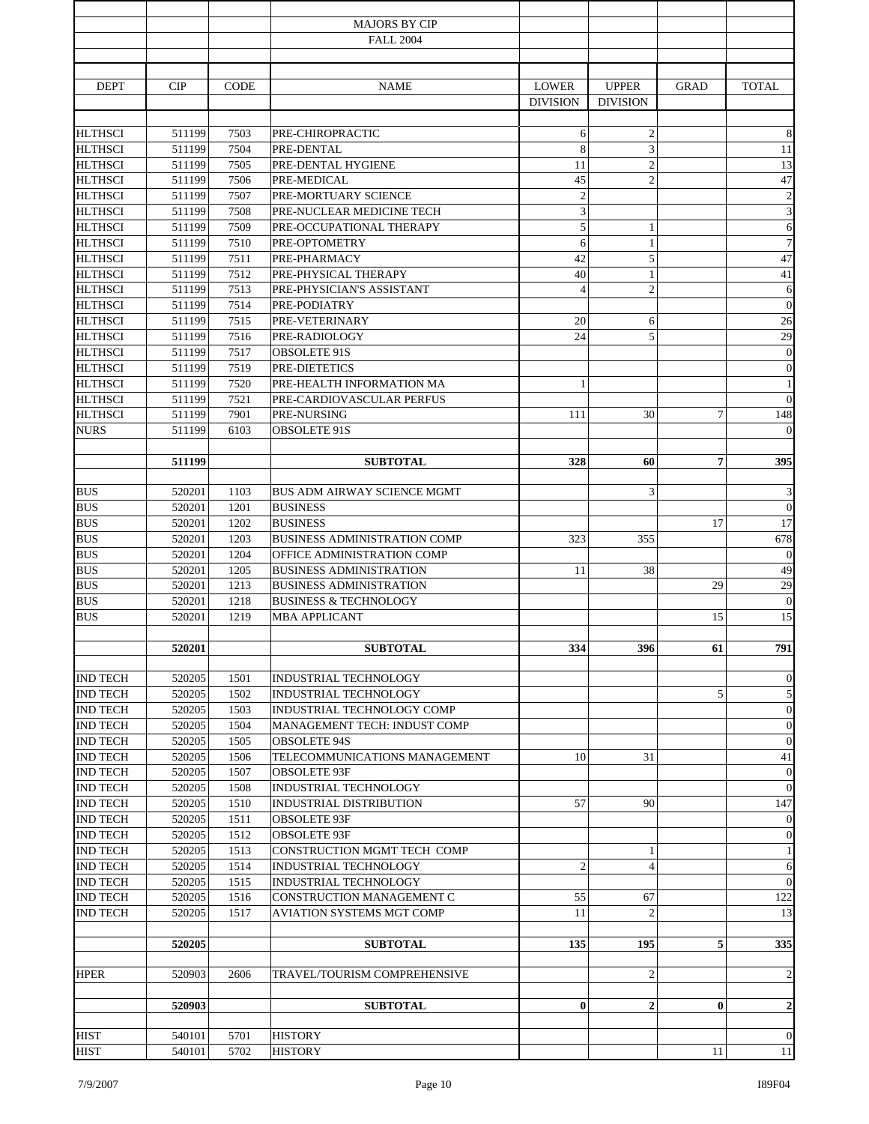|                                    |                  |              | <b>MAJORS BY CIP</b>                                 |                      |                                |                |                              |
|------------------------------------|------------------|--------------|------------------------------------------------------|----------------------|--------------------------------|----------------|------------------------------|
|                                    |                  |              | <b>FALL 2004</b>                                     |                      |                                |                |                              |
|                                    |                  |              |                                                      |                      |                                |                |                              |
| <b>DEPT</b>                        | CIP              | <b>CODE</b>  | <b>NAME</b>                                          | <b>LOWER</b>         | <b>UPPER</b>                   | <b>GRAD</b>    | <b>TOTAL</b>                 |
|                                    |                  |              |                                                      | <b>DIVISION</b>      | <b>DIVISION</b>                |                |                              |
|                                    |                  |              |                                                      |                      |                                |                |                              |
| <b>HLTHSCI</b>                     | 511199           | 7503         | PRE-CHIROPRACTIC                                     | 6                    | $\overline{c}$                 |                | $\,8\,$                      |
| <b>HLTHSCI</b>                     | 511199           | 7504         | PRE-DENTAL                                           | 8                    | 3                              |                | 11                           |
| <b>HLTHSCI</b>                     | 511199           | 7505         | PRE-DENTAL HYGIENE                                   | 11                   | $\overline{c}$                 |                | 13                           |
| <b>HLTHSCI</b>                     | 511199           | 7506         | PRE-MEDICAL                                          | 45                   | $\overline{c}$                 |                | 47                           |
| <b>HLTHSCI</b>                     | 511199           | 7507         | PRE-MORTUARY SCIENCE                                 | $\overline{c}$       |                                |                | $\overline{c}$               |
| <b>HLTHSCI</b>                     | 511199           | 7508         | PRE-NUCLEAR MEDICINE TECH                            | 3                    |                                |                | $\mathfrak{Z}$               |
| <b>HLTHSCI</b>                     | 511199           | 7509         | PRE-OCCUPATIONAL THERAPY                             | 5                    | $\mathbf{1}$                   |                | 6                            |
| <b>HLTHSCI</b>                     | 511199           | 7510         | PRE-OPTOMETRY                                        | 6                    | $\mathbf{1}$                   |                | $\boldsymbol{7}$             |
| <b>HLTHSCI</b>                     | 511199           | 7511         | PRE-PHARMACY                                         | 42                   | 5                              |                | 47<br>41                     |
| <b>HLTHSCI</b><br><b>HLTHSCI</b>   | 511199<br>511199 | 7512<br>7513 | PRE-PHYSICAL THERAPY<br>PRE-PHYSICIAN'S ASSISTANT    | 40<br>$\overline{4}$ | $\mathbf{1}$<br>$\overline{c}$ |                | 6                            |
| <b>HLTHSCI</b>                     | 511199           | 7514         | PRE-PODIATRY                                         |                      |                                |                | $\mathbf{0}$                 |
| <b>HLTHSCI</b>                     | 511199           | 7515         | PRE-VETERINARY                                       | 20                   | 6                              |                | 26                           |
| <b>HLTHSCI</b>                     | 511199           | 7516         | PRE-RADIOLOGY                                        | 24                   | 5                              |                | 29                           |
| <b>HLTHSCI</b>                     | 511199           | 7517         | <b>OBSOLETE 91S</b>                                  |                      |                                |                | $\mathbf{0}$                 |
| <b>HLTHSCI</b>                     | 511199           | 7519         | PRE-DIETETICS                                        |                      |                                |                | $\theta$                     |
| <b>HLTHSCI</b>                     | 511199           | 7520         | PRE-HEALTH INFORMATION MA                            | -1                   |                                |                | $\mathbf{1}$                 |
| <b>HLTHSCI</b>                     | 511199           | 7521         | PRE-CARDIOVASCULAR PERFUS                            |                      |                                |                | $\overline{0}$               |
| <b>HLTHSCI</b>                     | 511199           | 7901         | PRE-NURSING                                          | 111                  | 30                             | 7              | 148                          |
| <b>NURS</b>                        | 511199           | 6103         | <b>OBSOLETE 91S</b>                                  |                      |                                |                | $\theta$                     |
|                                    |                  |              |                                                      |                      |                                |                |                              |
|                                    | 511199           |              | <b>SUBTOTAL</b>                                      | 328                  | 60                             | $\overline{7}$ | 395                          |
|                                    |                  |              |                                                      |                      |                                |                |                              |
| <b>BUS</b><br><b>BUS</b>           | 520201           | 1103         | BUS ADM AIRWAY SCIENCE MGMT                          |                      | 3                              |                | $\mathfrak{Z}$               |
| <b>BUS</b>                         | 520201           | 1201<br>1202 | <b>BUSINESS</b><br><b>BUSINESS</b>                   |                      |                                | 17             | $\mathbf{0}$<br>17           |
| <b>BUS</b>                         | 520201<br>520201 | 1203         | <b>BUSINESS ADMINISTRATION COMP</b>                  | 323                  | 355                            |                | 678                          |
| <b>BUS</b>                         | 520201           | 1204         | OFFICE ADMINISTRATION COMP                           |                      |                                |                | $\mathbf{0}$                 |
| <b>BUS</b>                         | 520201           | 1205         | <b>BUSINESS ADMINISTRATION</b>                       | 11                   | 38                             |                | 49                           |
| <b>BUS</b>                         | 520201           | 1213         | <b>BUSINESS ADMINISTRATION</b>                       |                      |                                | 29             | 29                           |
| <b>BUS</b>                         | 520201           | 1218         | <b>BUSINESS &amp; TECHNOLOGY</b>                     |                      |                                |                | $\mathbf{0}$                 |
| <b>BUS</b>                         | 520201           | 1219         | <b>MBA APPLICANT</b>                                 |                      |                                | 15             | 15                           |
|                                    |                  |              |                                                      |                      |                                |                |                              |
|                                    | 520201           |              | <b>SUBTOTAL</b>                                      | 334                  | 396                            | 61             | 791                          |
|                                    |                  |              |                                                      |                      |                                |                |                              |
| <b>IND TECH</b>                    | 520205           | 1501         | INDUSTRIAL TECHNOLOGY                                |                      |                                |                | $\boldsymbol{0}$             |
| <b>IND TECH</b>                    | 520205           | 1502         | INDUSTRIAL TECHNOLOGY                                |                      |                                | 5              | $\sqrt{5}$                   |
| <b>IND TECH</b>                    | 520205           | 1503         | INDUSTRIAL TECHNOLOGY COMP                           |                      |                                |                | $\mathbf{0}$                 |
| <b>IND TECH</b><br><b>IND TECH</b> | 520205           | 1504         | <b>MANAGEMENT TECH: INDUST COMP</b>                  |                      |                                |                | $\mathbf{0}$<br>$\mathbf{0}$ |
| <b>IND TECH</b>                    | 520205<br>520205 | 1505<br>1506 | <b>OBSOLETE 94S</b><br>TELECOMMUNICATIONS MANAGEMENT | 10                   | 31                             |                | 41                           |
| <b>IND TECH</b>                    | 520205           | 1507         | <b>OBSOLETE 93F</b>                                  |                      |                                |                | $\mathbf{0}$                 |
| <b>IND TECH</b>                    | 520205           | 1508         | <b>INDUSTRIAL TECHNOLOGY</b>                         |                      |                                |                | $\mathbf{0}$                 |
| <b>IND TECH</b>                    | 520205           | 1510         | INDUSTRIAL DISTRIBUTION                              | 57                   | 90                             |                | 147                          |
| <b>IND TECH</b>                    | 520205           | 1511         | OBSOLETE 93F                                         |                      |                                |                | $\boldsymbol{0}$             |
| <b>IND TECH</b>                    | 520205           | 1512         | <b>OBSOLETE 93F</b>                                  |                      |                                |                | $\boldsymbol{0}$             |
| <b>IND TECH</b>                    | 520205           | 1513         | CONSTRUCTION MGMT TECH COMP                          |                      | $\mathbf{1}$                   |                | $\mathbf{1}$                 |
| <b>IND TECH</b>                    | 520205           | 1514         | INDUSTRIAL TECHNOLOGY                                | $\mathfrak{2}$       | $\overline{4}$                 |                | 6                            |
| <b>IND TECH</b>                    | 520205           | 1515         | INDUSTRIAL TECHNOLOGY                                |                      |                                |                | $\mathbf{0}$                 |
| <b>IND TECH</b>                    | 520205           | 1516         | CONSTRUCTION MANAGEMENT C                            | 55                   | 67                             |                | 122                          |
| <b>IND TECH</b>                    | 520205           | 1517         | AVIATION SYSTEMS MGT COMP                            | 11                   | $\overline{2}$                 |                | 13                           |
|                                    |                  |              |                                                      |                      |                                |                |                              |
|                                    | 520205           |              | <b>SUBTOTAL</b>                                      | 135                  | 195                            | 5              | 335                          |
|                                    |                  |              |                                                      |                      |                                |                |                              |
| <b>HPER</b>                        | 520903           | 2606         | TRAVEL/TOURISM COMPREHENSIVE                         |                      | $\overline{2}$                 |                | $\sqrt{2}$                   |
|                                    | 520903           |              | <b>SUBTOTAL</b>                                      | $\bf{0}$             | $\overline{2}$                 | $\bf{0}$       | $\mathbf 2$                  |
|                                    |                  |              |                                                      |                      |                                |                |                              |
| <b>HIST</b>                        | 540101           | 5701         | <b>HISTORY</b>                                       |                      |                                |                | $\theta$                     |
| <b>HIST</b>                        | 540101           | 5702         | <b>HISTORY</b>                                       |                      |                                | 11             | $11\,$                       |